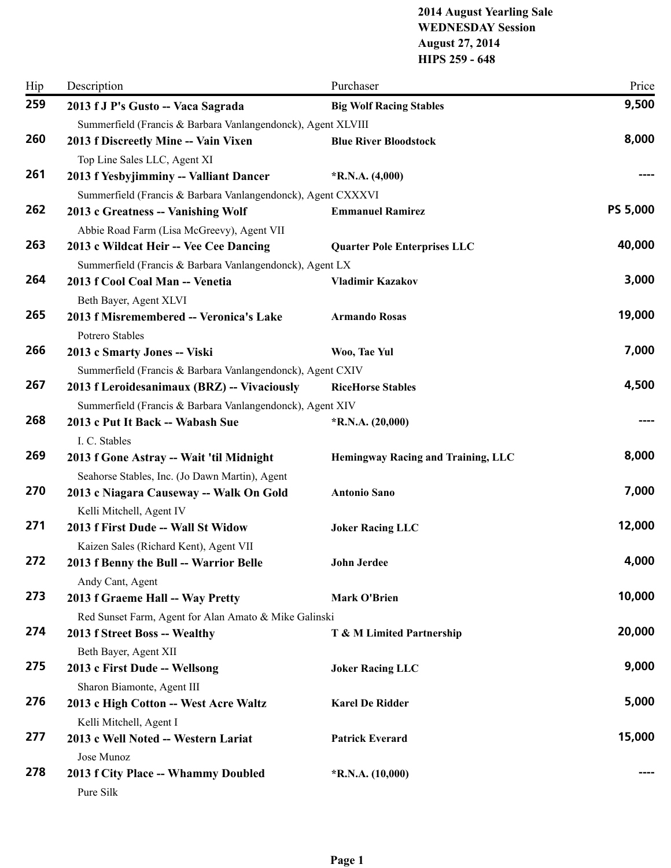## **2014 August Yearling Sale WEDNESDAY Session August 27, 2014 HIPS 259 - 648**

| Hip | Description                                                                               | Purchaser                           | Price           |
|-----|-------------------------------------------------------------------------------------------|-------------------------------------|-----------------|
| 259 | 2013 f J P's Gusto -- Vaca Sagrada                                                        | <b>Big Wolf Racing Stables</b>      | 9,500           |
|     | Summerfield (Francis & Barbara Vanlangendonck), Agent XLVIII                              |                                     |                 |
| 260 | 2013 f Discreetly Mine -- Vain Vixen                                                      | <b>Blue River Bloodstock</b>        | 8,000           |
|     | Top Line Sales LLC, Agent XI                                                              |                                     |                 |
| 261 | 2013 f Yesbyjimminy -- Valliant Dancer                                                    | $*$ R.N.A. $(4,000)$                |                 |
|     | Summerfield (Francis & Barbara Vanlangendonck), Agent CXXXVI                              |                                     |                 |
| 262 | 2013 c Greatness -- Vanishing Wolf                                                        | <b>Emmanuel Ramirez</b>             | <b>PS 5,000</b> |
|     | Abbie Road Farm (Lisa McGreevy), Agent VII                                                |                                     |                 |
| 263 | 2013 c Wildcat Heir -- Vee Cee Dancing                                                    | <b>Quarter Pole Enterprises LLC</b> | 40,000          |
|     | Summerfield (Francis & Barbara Vanlangendonck), Agent LX                                  |                                     |                 |
| 264 | 2013 f Cool Coal Man -- Venetia                                                           | <b>Vladimir Kazakov</b>             | 3,000           |
|     | Beth Bayer, Agent XLVI                                                                    |                                     |                 |
| 265 | 2013 f Misremembered -- Veronica's Lake                                                   | <b>Armando Rosas</b>                | 19,000          |
|     | Potrero Stables                                                                           |                                     |                 |
| 266 | 2013 c Smarty Jones -- Viski                                                              | Woo, Tae Yul                        | 7,000           |
|     | Summerfield (Francis & Barbara Vanlangendonck), Agent CXIV                                |                                     |                 |
| 267 | 2013 f Leroidesanimaux (BRZ) -- Vivaciously                                               | <b>RiceHorse Stables</b>            | 4,500           |
| 268 | Summerfield (Francis & Barbara Vanlangendonck), Agent XIV                                 |                                     |                 |
|     | 2013 c Put It Back -- Wabash Sue                                                          | $*R.N.A. (20,000)$                  |                 |
| 269 | I. C. Stables                                                                             |                                     | 8,000           |
|     | 2013 f Gone Astray -- Wait 'til Midnight                                                  | Hemingway Racing and Training, LLC  |                 |
| 270 | Seahorse Stables, Inc. (Jo Dawn Martin), Agent<br>2013 c Niagara Causeway -- Walk On Gold | <b>Antonio Sano</b>                 | 7,000           |
|     |                                                                                           |                                     |                 |
| 271 | Kelli Mitchell, Agent IV<br>2013 f First Dude -- Wall St Widow                            | <b>Joker Racing LLC</b>             | 12,000          |
|     | Kaizen Sales (Richard Kent), Agent VII                                                    |                                     |                 |
| 272 | 2013 f Benny the Bull -- Warrior Belle                                                    | John Jerdee                         | 4,000           |
|     | Andy Cant, Agent                                                                          |                                     |                 |
| 273 | 2013 f Graeme Hall -- Way Pretty                                                          | <b>Mark O'Brien</b>                 | 10,000          |
|     | Red Sunset Farm, Agent for Alan Amato & Mike Galinski                                     |                                     |                 |
| 274 | 2013 f Street Boss -- Wealthy                                                             | T & M Limited Partnership           | 20,000          |
|     | Beth Bayer, Agent XII                                                                     |                                     |                 |
| 275 | 2013 c First Dude -- Wellsong                                                             | <b>Joker Racing LLC</b>             | 9,000           |
|     | Sharon Biamonte, Agent III                                                                |                                     |                 |
| 276 | 2013 c High Cotton -- West Acre Waltz                                                     | <b>Karel De Ridder</b>              | 5,000           |
|     | Kelli Mitchell, Agent I                                                                   |                                     |                 |
| 277 | 2013 c Well Noted -- Western Lariat                                                       | <b>Patrick Everard</b>              | 15,000          |
|     | Jose Munoz                                                                                |                                     |                 |
| 278 | 2013 f City Place -- Whammy Doubled                                                       | $*R.N.A. (10,000)$                  |                 |
|     | Pure Silk                                                                                 |                                     |                 |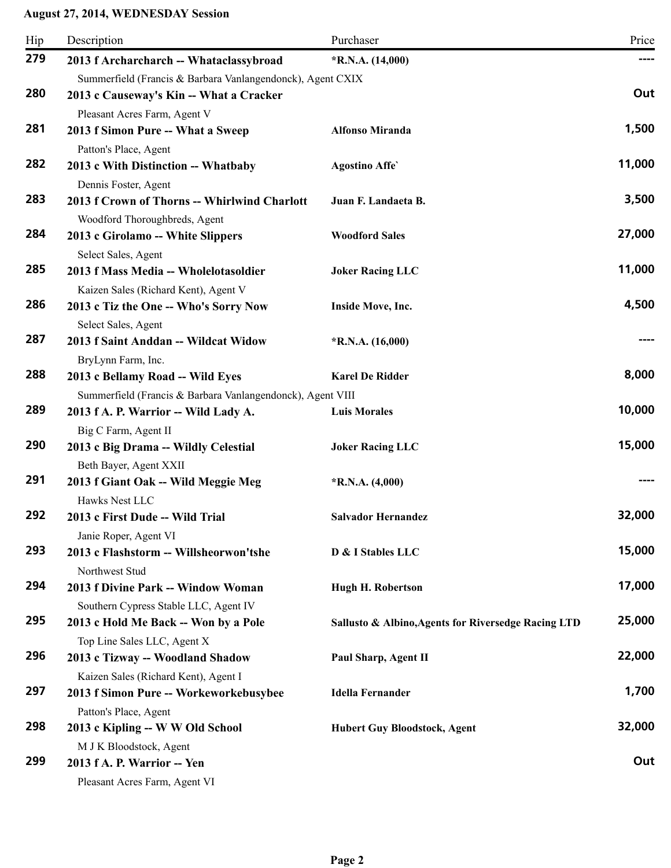| Hip | Description                                                          | Purchaser                                           | Price  |
|-----|----------------------------------------------------------------------|-----------------------------------------------------|--------|
| 279 | 2013 f Archarcharch -- Whataclassybroad                              | $*$ R.N.A. (14,000)                                 |        |
|     | Summerfield (Francis & Barbara Vanlangendonck), Agent CXIX           |                                                     |        |
| 280 | 2013 c Causeway's Kin -- What a Cracker                              |                                                     | Out    |
|     | Pleasant Acres Farm, Agent V                                         |                                                     |        |
| 281 | 2013 f Simon Pure -- What a Sweep                                    | <b>Alfonso Miranda</b>                              | 1,500  |
| 282 | Patton's Place, Agent                                                |                                                     | 11,000 |
|     | 2013 c With Distinction -- Whatbaby                                  | <b>Agostino Affe</b>                                |        |
| 283 | Dennis Foster, Agent<br>2013 f Crown of Thorns -- Whirlwind Charlott | Juan F. Landaeta B.                                 | 3,500  |
|     | Woodford Thoroughbreds, Agent                                        |                                                     |        |
| 284 | 2013 c Girolamo -- White Slippers                                    | <b>Woodford Sales</b>                               | 27,000 |
|     | Select Sales, Agent                                                  |                                                     |        |
| 285 | 2013 f Mass Media -- Wholelotasoldier                                | <b>Joker Racing LLC</b>                             | 11,000 |
|     | Kaizen Sales (Richard Kent), Agent V                                 |                                                     |        |
| 286 | 2013 c Tiz the One -- Who's Sorry Now                                | Inside Move, Inc.                                   | 4,500  |
|     | Select Sales, Agent                                                  |                                                     |        |
| 287 | 2013 f Saint Anddan -- Wildcat Widow                                 | $*R.N.A. (16,000)$                                  |        |
|     | BryLynn Farm, Inc.                                                   |                                                     |        |
| 288 | 2013 c Bellamy Road -- Wild Eyes                                     | <b>Karel De Ridder</b>                              | 8,000  |
|     | Summerfield (Francis & Barbara Vanlangendonck), Agent VIII           |                                                     |        |
| 289 | 2013 f A. P. Warrior -- Wild Lady A.                                 | <b>Luis Morales</b>                                 | 10,000 |
| 290 | Big C Farm, Agent II                                                 |                                                     | 15,000 |
|     | 2013 c Big Drama -- Wildly Celestial                                 | <b>Joker Racing LLC</b>                             |        |
| 291 | Beth Bayer, Agent XXII<br>2013 f Giant Oak -- Wild Meggie Meg        | $*$ R.N.A. $(4,000)$                                |        |
|     | Hawks Nest LLC                                                       |                                                     |        |
| 292 | 2013 c First Dude -- Wild Trial                                      | <b>Salvador Hernandez</b>                           | 32,000 |
|     | Janie Roper, Agent VI                                                |                                                     |        |
| 293 | 2013 c Flashstorm -- Willsheorwon'tshe                               | D & I Stables LLC                                   | 15,000 |
|     | Northwest Stud                                                       |                                                     |        |
| 294 | 2013 f Divine Park -- Window Woman                                   | <b>Hugh H. Robertson</b>                            | 17,000 |
|     | Southern Cypress Stable LLC, Agent IV                                |                                                     |        |
| 295 | 2013 c Hold Me Back -- Won by a Pole                                 | Sallusto & Albino, Agents for Riversedge Racing LTD | 25,000 |
|     | Top Line Sales LLC, Agent X                                          |                                                     |        |
| 296 | 2013 c Tizway -- Woodland Shadow                                     | Paul Sharp, Agent II                                | 22,000 |
|     | Kaizen Sales (Richard Kent), Agent I                                 |                                                     |        |
| 297 | 2013 f Simon Pure -- Workeworkebusybee                               | <b>Idella Fernander</b>                             | 1,700  |
| 298 | Patton's Place, Agent                                                |                                                     | 32,000 |
|     | 2013 c Kipling -- W W Old School                                     | <b>Hubert Guy Bloodstock, Agent</b>                 |        |
| 299 | M J K Bloodstock, Agent<br>2013 f A. P. Warrior -- Yen               |                                                     | Out    |
|     | Pleasant Acres Farm, Agent VI                                        |                                                     |        |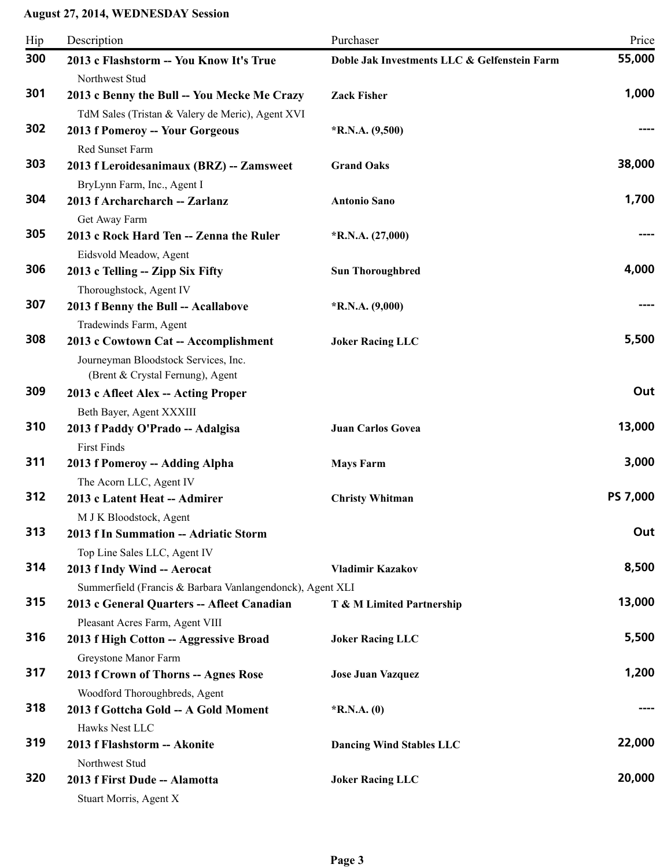| Hip | Description                                               | Purchaser                                    | Price    |
|-----|-----------------------------------------------------------|----------------------------------------------|----------|
| 300 | 2013 c Flashstorm -- You Know It's True                   | Doble Jak Investments LLC & Gelfenstein Farm | 55,000   |
|     | Northwest Stud                                            |                                              |          |
| 301 | 2013 c Benny the Bull -- You Mecke Me Crazy               | <b>Zack Fisher</b>                           | 1,000    |
|     | TdM Sales (Tristan & Valery de Meric), Agent XVI          |                                              |          |
| 302 | 2013 f Pomeroy -- Your Gorgeous                           | $*$ R.N.A. $(9,500)$                         |          |
|     | Red Sunset Farm                                           |                                              |          |
| 303 | 2013 f Leroidesanimaux (BRZ) -- Zamsweet                  | <b>Grand Oaks</b>                            | 38,000   |
|     | BryLynn Farm, Inc., Agent I                               |                                              |          |
| 304 | 2013 f Archarcharch -- Zarlanz                            | <b>Antonio Sano</b>                          | 1,700    |
|     | Get Away Farm                                             |                                              |          |
| 305 | 2013 c Rock Hard Ten -- Zenna the Ruler                   | $*R.N.A. (27,000)$                           |          |
|     | Eidsvold Meadow, Agent                                    |                                              |          |
| 306 | 2013 c Telling -- Zipp Six Fifty                          | <b>Sun Thoroughbred</b>                      | 4,000    |
|     | Thoroughstock, Agent IV                                   |                                              |          |
| 307 | 2013 f Benny the Bull -- Acallabove                       | $*R.N.A. (9,000)$                            |          |
|     | Tradewinds Farm, Agent                                    |                                              |          |
| 308 | 2013 c Cowtown Cat -- Accomplishment                      | <b>Joker Racing LLC</b>                      | 5,500    |
|     | Journeyman Bloodstock Services, Inc.                      |                                              |          |
|     | (Brent & Crystal Fernung), Agent                          |                                              |          |
| 309 | 2013 c Afleet Alex -- Acting Proper                       |                                              | Out      |
|     | Beth Bayer, Agent XXXIII                                  |                                              |          |
| 310 | 2013 f Paddy O'Prado -- Adalgisa                          | <b>Juan Carlos Govea</b>                     | 13,000   |
|     | <b>First Finds</b>                                        |                                              |          |
| 311 | 2013 f Pomeroy -- Adding Alpha                            | <b>Mays Farm</b>                             | 3,000    |
|     | The Acorn LLC, Agent IV                                   |                                              |          |
| 312 | 2013 c Latent Heat -- Admirer                             | <b>Christy Whitman</b>                       | PS 7,000 |
|     | M J K Bloodstock, Agent                                   |                                              |          |
| 313 | 2013 f In Summation -- Adriatic Storm                     |                                              | Out      |
|     | Top Line Sales LLC, Agent IV                              |                                              |          |
| 314 | 2013 f Indy Wind -- Aerocat                               | <b>Vladimir Kazakov</b>                      | 8,500    |
|     | Summerfield (Francis & Barbara Vanlangendonck), Agent XLI |                                              |          |
| 315 | 2013 c General Quarters -- Afleet Canadian                | T & M Limited Partnership                    | 13,000   |
|     | Pleasant Acres Farm, Agent VIII                           |                                              |          |
| 316 | 2013 f High Cotton -- Aggressive Broad                    | <b>Joker Racing LLC</b>                      | 5,500    |
|     | Greystone Manor Farm                                      |                                              |          |
| 317 | 2013 f Crown of Thorns -- Agnes Rose                      | <b>Jose Juan Vazquez</b>                     | 1,200    |
|     | Woodford Thoroughbreds, Agent                             |                                              |          |
| 318 | 2013 f Gottcha Gold -- A Gold Moment                      | $*$ R.N.A. $(0)$                             |          |
|     | Hawks Nest LLC                                            |                                              |          |
| 319 | 2013 f Flashstorm -- Akonite                              | <b>Dancing Wind Stables LLC</b>              | 22,000   |
|     | Northwest Stud                                            |                                              |          |
| 320 | 2013 f First Dude -- Alamotta                             | <b>Joker Racing LLC</b>                      | 20,000   |
|     | Stuart Morris, Agent X                                    |                                              |          |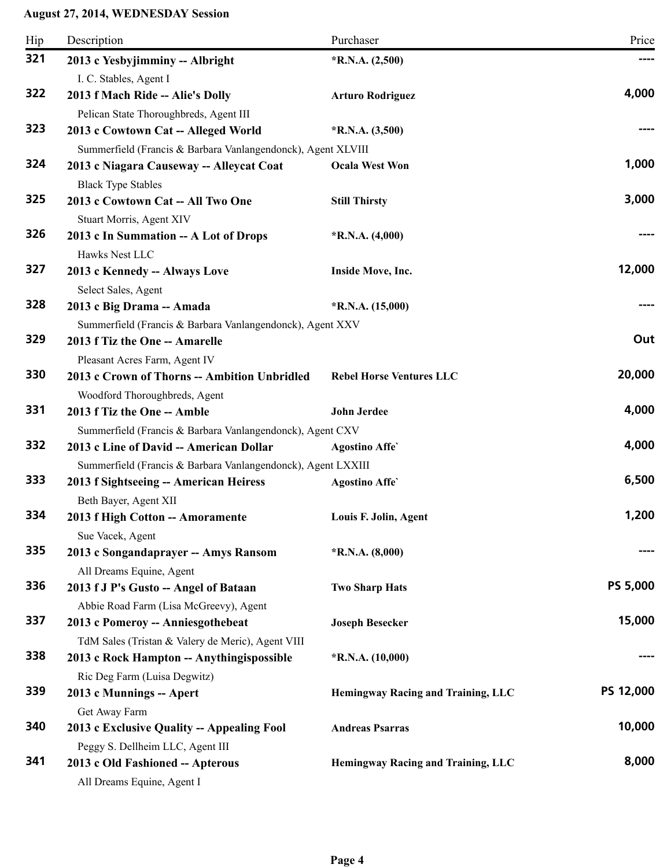| Hip | Description                                                  | Purchaser                          | Price           |
|-----|--------------------------------------------------------------|------------------------------------|-----------------|
| 321 | 2013 c Yesbyjimminy -- Albright                              | $*R.N.A. (2,500)$                  |                 |
|     | I. C. Stables, Agent I                                       |                                    |                 |
| 322 | 2013 f Mach Ride -- Alie's Dolly                             | <b>Arturo Rodriguez</b>            | 4,000           |
|     | Pelican State Thoroughbreds, Agent III                       |                                    |                 |
| 323 | 2013 c Cowtown Cat -- Alleged World                          | $*R.N.A. (3,500)$                  |                 |
|     | Summerfield (Francis & Barbara Vanlangendonck), Agent XLVIII |                                    |                 |
| 324 | 2013 c Niagara Causeway -- Alleycat Coat                     | <b>Ocala West Won</b>              | 1,000           |
|     | <b>Black Type Stables</b>                                    |                                    |                 |
| 325 | 2013 c Cowtown Cat -- All Two One                            | <b>Still Thirsty</b>               | 3,000           |
|     | Stuart Morris, Agent XIV                                     |                                    |                 |
| 326 | 2013 c In Summation -- A Lot of Drops<br>Hawks Nest LLC      | $*$ R.N.A. $(4,000)$               |                 |
| 327 | 2013 c Kennedy -- Always Love                                | Inside Move, Inc.                  | 12,000          |
|     | Select Sales, Agent                                          |                                    |                 |
| 328 | 2013 c Big Drama -- Amada                                    | $*R.N.A. (15,000)$                 |                 |
|     | Summerfield (Francis & Barbara Vanlangendonck), Agent XXV    |                                    |                 |
| 329 | 2013 f Tiz the One -- Amarelle                               |                                    | Out             |
|     | Pleasant Acres Farm, Agent IV                                |                                    |                 |
| 330 | 2013 c Crown of Thorns -- Ambition Unbridled                 | <b>Rebel Horse Ventures LLC</b>    | 20,000          |
|     | Woodford Thoroughbreds, Agent                                |                                    |                 |
| 331 | 2013 f Tiz the One -- Amble                                  | John Jerdee                        | 4,000           |
|     | Summerfield (Francis & Barbara Vanlangendonck), Agent CXV    |                                    |                 |
| 332 | 2013 c Line of David -- American Dollar                      | <b>Agostino Affe</b>               | 4,000           |
|     | Summerfield (Francis & Barbara Vanlangendonck), Agent LXXIII |                                    |                 |
| 333 | 2013 f Sightseeing -- American Heiress                       | <b>Agostino Affe</b>               | 6,500           |
|     | Beth Bayer, Agent XII                                        |                                    |                 |
| 334 | 2013 f High Cotton -- Amoramente                             | Louis F. Jolin, Agent              | 1,200           |
|     | Sue Vacek, Agent                                             |                                    |                 |
| 335 | 2013 c Songandaprayer -- Amys Ransom                         | $*R.N.A. (8,000)$                  |                 |
|     | All Dreams Equine, Agent                                     |                                    |                 |
| 336 | 2013 f J P's Gusto -- Angel of Bataan                        | <b>Two Sharp Hats</b>              | <b>PS 5,000</b> |
|     | Abbie Road Farm (Lisa McGreevy), Agent                       |                                    |                 |
| 337 | 2013 c Pomeroy -- Anniesgothebeat                            | <b>Joseph Besecker</b>             | 15,000          |
|     | TdM Sales (Tristan & Valery de Meric), Agent VIII            |                                    |                 |
| 338 | 2013 c Rock Hampton -- Anythingispossible                    | $*R.N.A. (10,000)$                 |                 |
|     | Ric Deg Farm (Luisa Degwitz)                                 |                                    |                 |
| 339 | 2013 c Munnings -- Apert                                     | Hemingway Racing and Training, LLC | PS 12,000       |
|     | Get Away Farm                                                |                                    |                 |
| 340 | 2013 c Exclusive Quality -- Appealing Fool                   | <b>Andreas Psarras</b>             | 10,000          |
|     | Peggy S. Dellheim LLC, Agent III                             |                                    |                 |
| 341 | 2013 c Old Fashioned -- Apterous                             | Hemingway Racing and Training, LLC | 8,000           |
|     | All Dreams Equine, Agent I                                   |                                    |                 |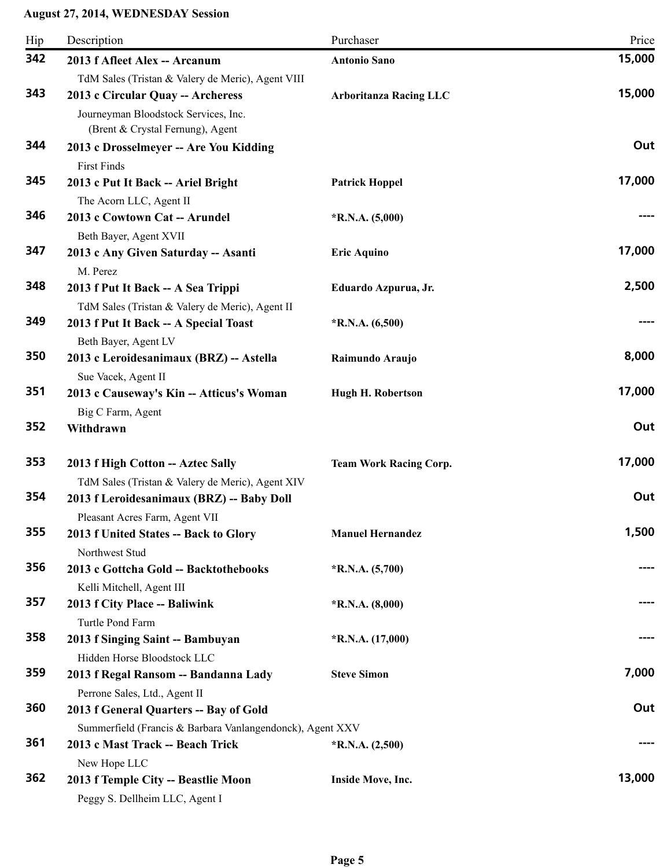| Hip | Description                                                                                                                     | Purchaser                     | Price  |
|-----|---------------------------------------------------------------------------------------------------------------------------------|-------------------------------|--------|
| 342 | 2013 f Afleet Alex -- Arcanum                                                                                                   | <b>Antonio Sano</b>           | 15,000 |
| 343 | TdM Sales (Tristan & Valery de Meric), Agent VIII<br>2013 c Circular Quay -- Archeress<br>Journeyman Bloodstock Services, Inc.  | <b>Arboritanza Racing LLC</b> | 15,000 |
| 344 | (Brent & Crystal Fernung), Agent<br>2013 c Drosselmeyer -- Are You Kidding<br><b>First Finds</b>                                |                               | Out    |
| 345 | 2013 c Put It Back -- Ariel Bright<br>The Acorn LLC, Agent II                                                                   | <b>Patrick Hoppel</b>         | 17,000 |
| 346 | 2013 c Cowtown Cat -- Arundel<br>Beth Bayer, Agent XVII                                                                         | $*R.N.A. (5,000)$             |        |
| 347 | 2013 c Any Given Saturday -- Asanti<br>M. Perez                                                                                 | <b>Eric Aquino</b>            | 17,000 |
| 348 | 2013 f Put It Back -- A Sea Trippi<br>TdM Sales (Tristan & Valery de Meric), Agent II                                           | Eduardo Azpurua, Jr.          | 2,500  |
| 349 | 2013 f Put It Back -- A Special Toast<br>Beth Bayer, Agent LV                                                                   | $*R.N.A. (6,500)$             |        |
| 350 | 2013 c Leroidesanimaux (BRZ) -- Astella<br>Sue Vacek, Agent II                                                                  | Raimundo Araujo               | 8,000  |
| 351 | 2013 c Causeway's Kin -- Atticus's Woman<br>Big C Farm, Agent                                                                   | <b>Hugh H. Robertson</b>      | 17,000 |
| 352 | Withdrawn                                                                                                                       |                               | Out    |
| 353 | 2013 f High Cotton -- Aztec Sally                                                                                               | <b>Team Work Racing Corp.</b> | 17,000 |
| 354 | TdM Sales (Tristan & Valery de Meric), Agent XIV<br>2013 f Leroidesanimaux (BRZ) -- Baby Doll<br>Pleasant Acres Farm, Agent VII |                               | Out    |
| 355 | 2013 f United States -- Back to Glory<br>Northwest Stud                                                                         | <b>Manuel Hernandez</b>       | 1,500  |
| 356 | 2013 c Gottcha Gold -- Backtothebooks<br>Kelli Mitchell, Agent III                                                              | $*R.N.A. (5,700)$             | ----   |
| 357 | 2013 f City Place -- Baliwink<br>Turtle Pond Farm                                                                               | $*R.N.A. (8,000)$             |        |
| 358 | 2013 f Singing Saint -- Bambuyan<br>Hidden Horse Bloodstock LLC                                                                 | $*R.N.A. (17,000)$            |        |
| 359 | 2013 f Regal Ransom -- Bandanna Lady<br>Perrone Sales, Ltd., Agent II                                                           | <b>Steve Simon</b>            | 7,000  |
| 360 | 2013 f General Quarters -- Bay of Gold<br>Summerfield (Francis & Barbara Vanlangendonck), Agent XXV                             |                               | Out    |
| 361 | 2013 c Mast Track -- Beach Trick<br>New Hope LLC                                                                                | $*$ R.N.A. $(2,500)$          |        |
| 362 | 2013 f Temple City -- Beastlie Moon<br>Peggy S. Dellheim LLC, Agent I                                                           | Inside Move, Inc.             | 13,000 |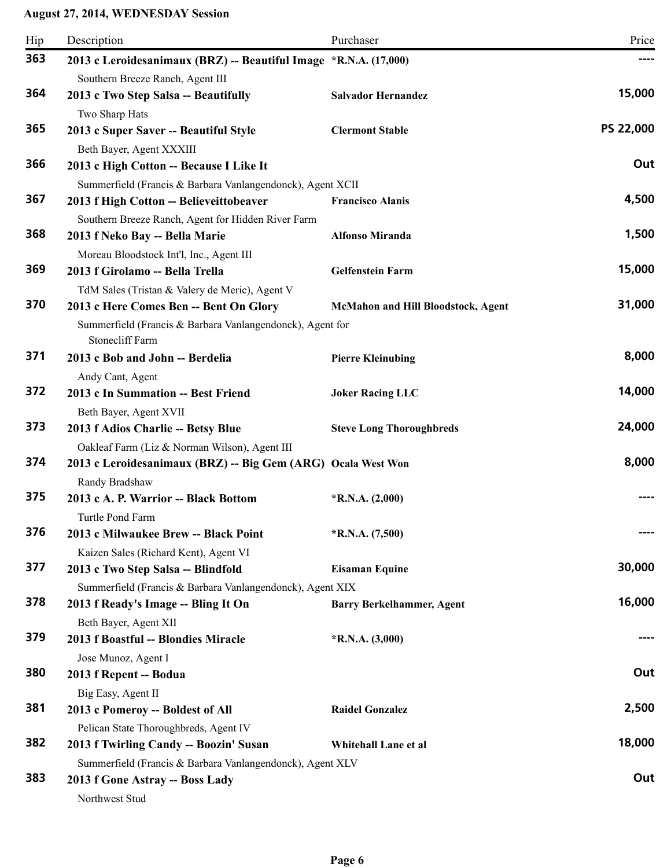| Hip | Description                                                                                                            | Purchaser                          | Price     |
|-----|------------------------------------------------------------------------------------------------------------------------|------------------------------------|-----------|
| 363 | 2013 c Leroidesanimaux (BRZ) -- Beautiful Image *R.N.A. (17,000)<br>Southern Breeze Ranch, Agent III                   |                                    |           |
| 364 | 2013 c Two Step Salsa -- Beautifully<br>Two Sharp Hats                                                                 | <b>Salvador Hernandez</b>          | 15,000    |
| 365 | 2013 c Super Saver -- Beautiful Style<br>Beth Bayer, Agent XXXIII                                                      | <b>Clermont Stable</b>             | PS 22,000 |
| 366 | 2013 c High Cotton -- Because I Like It<br>Summerfield (Francis & Barbara Vanlangendonck), Agent XCII                  |                                    | Out       |
| 367 | 2013 f High Cotton -- Believeittobeaver<br>Southern Breeze Ranch, Agent for Hidden River Farm                          | <b>Francisco Alanis</b>            | 4,500     |
| 368 | 2013 f Neko Bay -- Bella Marie<br>Moreau Bloodstock Int'l, Inc., Agent III                                             | <b>Alfonso Miranda</b>             | 1,500     |
| 369 | 2013 f Girolamo -- Bella Trella<br>TdM Sales (Tristan & Valery de Meric), Agent V                                      | <b>Gelfenstein Farm</b>            | 15,000    |
| 370 | 2013 c Here Comes Ben -- Bent On Glory<br>Summerfield (Francis & Barbara Vanlangendonck), Agent for<br>Stonecliff Farm | McMahon and Hill Bloodstock, Agent | 31,000    |
| 371 | 2013 c Bob and John -- Berdelia<br>Andy Cant, Agent                                                                    | <b>Pierre Kleinubing</b>           | 8,000     |
| 372 | 2013 c In Summation -- Best Friend<br>Beth Bayer, Agent XVII                                                           | <b>Joker Racing LLC</b>            | 14,000    |
| 373 | 2013 f Adios Charlie -- Betsy Blue<br>Oakleaf Farm (Liz & Norman Wilson), Agent III                                    | <b>Steve Long Thoroughbreds</b>    | 24,000    |
| 374 | 2013 c Leroidesanimaux (BRZ) -- Big Gem (ARG) Ocala West Won<br>Randy Bradshaw                                         |                                    | 8,000     |
| 375 | 2013 c A. P. Warrior -- Black Bottom<br>Turtle Pond Farm                                                               | $*$ R.N.A. $(2,000)$               |           |
| 376 | 2013 c Milwaukee Brew -- Black Point<br>Kaizen Sales (Richard Kent), Agent VI                                          | $*R.N.A. (7,500)$                  |           |
| 377 | 2013 c Two Step Salsa -- Blindfold<br>Summerfield (Francis & Barbara Vanlangendonck), Agent XIX                        | <b>Eisaman Equine</b>              | 30,000    |
| 378 | 2013 f Ready's Image -- Bling It On<br>Beth Bayer, Agent XII                                                           | <b>Barry Berkelhammer, Agent</b>   | 16,000    |
| 379 | 2013 f Boastful -- Blondies Miracle<br>Jose Munoz, Agent I                                                             | $*$ R.N.A. $(3,000)$               |           |
| 380 | 2013 f Repent -- Bodua<br>Big Easy, Agent II                                                                           |                                    | Out       |
| 381 | 2013 c Pomeroy -- Boldest of All                                                                                       | <b>Raidel Gonzalez</b>             | 2,500     |
| 382 | Pelican State Thoroughbreds, Agent IV<br>2013 f Twirling Candy -- Boozin' Susan                                        | Whitehall Lane et al               | 18,000    |
| 383 | Summerfield (Francis & Barbara Vanlangendonck), Agent XLV<br>2013 f Gone Astray -- Boss Lady<br>Northwest Stud         |                                    | Out       |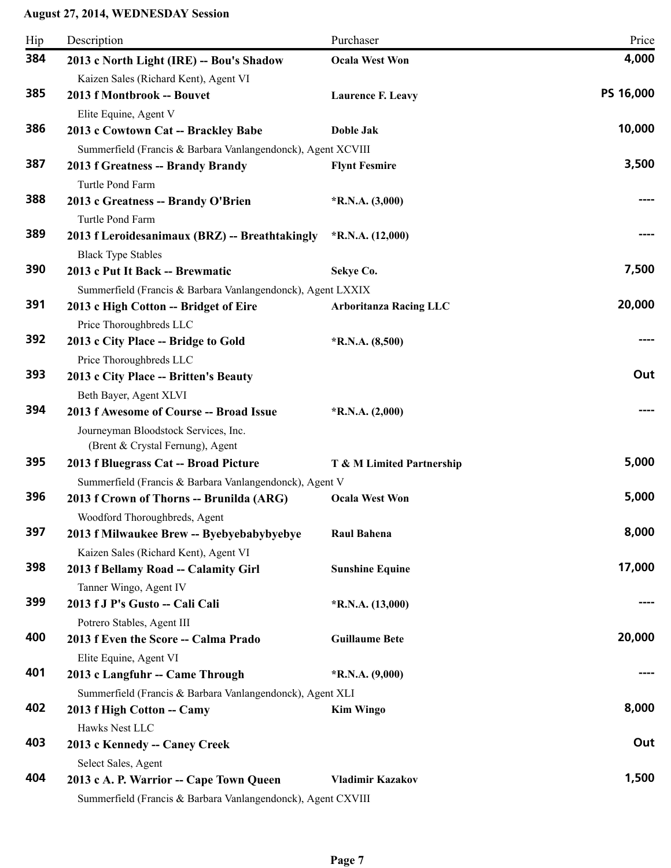| Hip | Description                                                  | Purchaser                     | Price     |
|-----|--------------------------------------------------------------|-------------------------------|-----------|
| 384 | 2013 c North Light (IRE) -- Bou's Shadow                     | <b>Ocala West Won</b>         | 4,000     |
|     | Kaizen Sales (Richard Kent), Agent VI                        |                               |           |
| 385 | 2013 f Montbrook -- Bouvet                                   | <b>Laurence F. Leavy</b>      | PS 16,000 |
|     | Elite Equine, Agent V                                        |                               |           |
| 386 | 2013 c Cowtown Cat -- Brackley Babe                          | <b>Doble Jak</b>              | 10,000    |
|     | Summerfield (Francis & Barbara Vanlangendonck), Agent XCVIII |                               |           |
| 387 | 2013 f Greatness -- Brandy Brandy                            | <b>Flynt Fesmire</b>          | 3,500     |
|     | Turtle Pond Farm                                             |                               |           |
| 388 | 2013 c Greatness -- Brandy O'Brien                           | $*R.N.A. (3,000)$             |           |
|     | Turtle Pond Farm                                             |                               |           |
| 389 | 2013 f Leroidesanimaux (BRZ) -- Breathtakingly               | $*R.N.A. (12,000)$            |           |
|     | <b>Black Type Stables</b>                                    |                               |           |
| 390 | 2013 c Put It Back -- Brewmatic                              | Sekye Co.                     | 7,500     |
|     | Summerfield (Francis & Barbara Vanlangendonck), Agent LXXIX  |                               |           |
| 391 | 2013 c High Cotton -- Bridget of Eire                        | <b>Arboritanza Racing LLC</b> | 20,000    |
|     | Price Thoroughbreds LLC                                      |                               |           |
| 392 | 2013 c City Place -- Bridge to Gold                          | $*R.N.A. (8,500)$             |           |
|     | Price Thoroughbreds LLC                                      |                               |           |
| 393 | 2013 c City Place -- Britten's Beauty                        |                               | Out       |
|     | Beth Bayer, Agent XLVI                                       |                               |           |
| 394 | 2013 f Awesome of Course -- Broad Issue                      | $*R.N.A. (2,000)$             |           |
|     | Journeyman Bloodstock Services, Inc.                         |                               |           |
|     | (Brent & Crystal Fernung), Agent                             |                               |           |
| 395 | 2013 f Bluegrass Cat -- Broad Picture                        | T & M Limited Partnership     | 5,000     |
|     | Summerfield (Francis & Barbara Vanlangendonck), Agent V      |                               |           |
| 396 | 2013 f Crown of Thorns -- Brunilda (ARG)                     | <b>Ocala West Won</b>         | 5,000     |
|     | Woodford Thoroughbreds, Agent                                |                               |           |
| 397 | 2013 f Milwaukee Brew -- Byebyebabybyebye                    | <b>Raul Bahena</b>            | 8,000     |
|     | Kaizen Sales (Richard Kent), Agent VI                        |                               |           |
| 398 | 2013 f Bellamy Road -- Calamity Girl                         | <b>Sunshine Equine</b>        | 17,000    |
|     | Tanner Wingo, Agent IV                                       |                               |           |
| 399 | 2013 f J P's Gusto -- Cali Cali                              | $*R.N.A. (13,000)$            |           |
|     | Potrero Stables, Agent III                                   |                               |           |
| 400 | 2013 f Even the Score -- Calma Prado                         | <b>Guillaume Bete</b>         | 20,000    |
|     | Elite Equine, Agent VI                                       |                               |           |
| 401 | 2013 c Langfuhr -- Came Through                              | $*R.N.A. (9,000)$             |           |
|     | Summerfield (Francis & Barbara Vanlangendonck), Agent XLI    |                               |           |
| 402 | 2013 f High Cotton -- Camy                                   | <b>Kim Wingo</b>              | 8,000     |
|     | Hawks Nest LLC                                               |                               |           |
| 403 | 2013 c Kennedy -- Caney Creek                                |                               | Out       |
|     | Select Sales, Agent                                          |                               |           |
| 404 | 2013 c A. P. Warrior - Cape Town Queen                       | <b>Vladimir Kazakov</b>       | 1,500     |
|     | Summerfield (Francis & Barbara Vanlangendonck), Agent CXVIII |                               |           |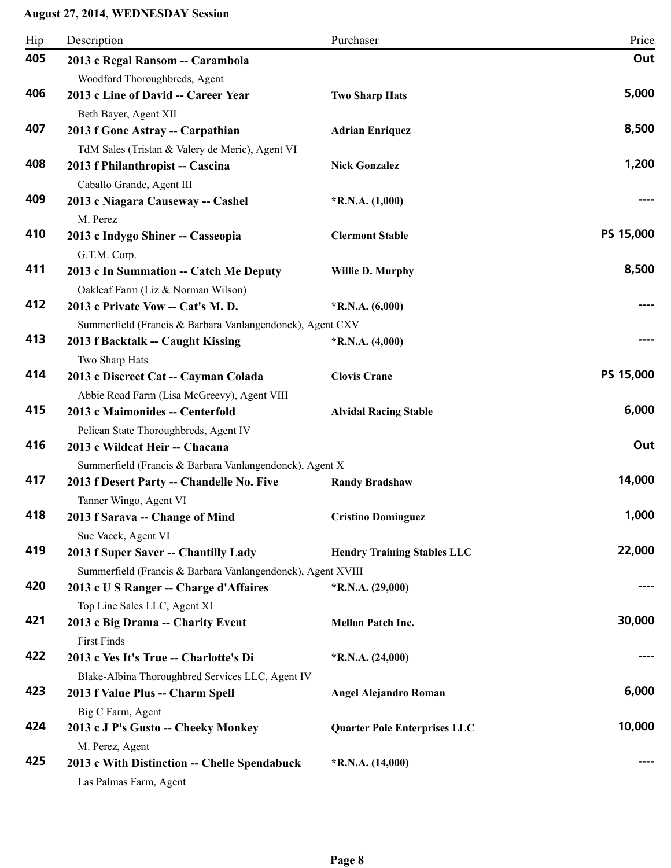| Hip | Description                                                                          | Purchaser                           | Price     |
|-----|--------------------------------------------------------------------------------------|-------------------------------------|-----------|
| 405 | 2013 c Regal Ransom -- Carambola                                                     |                                     | Out       |
|     | Woodford Thoroughbreds, Agent                                                        |                                     |           |
| 406 | 2013 c Line of David -- Career Year                                                  | <b>Two Sharp Hats</b>               | 5,000     |
|     | Beth Bayer, Agent XII                                                                |                                     |           |
| 407 | 2013 f Gone Astray -- Carpathian                                                     | <b>Adrian Enriquez</b>              | 8,500     |
|     | TdM Sales (Tristan & Valery de Meric), Agent VI                                      |                                     |           |
| 408 | 2013 f Philanthropist -- Cascina                                                     | <b>Nick Gonzalez</b>                | 1,200     |
|     | Caballo Grande, Agent III                                                            |                                     |           |
| 409 | 2013 c Niagara Causeway -- Cashel                                                    | *R.N.A. $(1,000)$                   |           |
|     | M. Perez                                                                             |                                     |           |
| 410 | 2013 c Indygo Shiner -- Casseopia                                                    | <b>Clermont Stable</b>              | PS 15,000 |
|     | G.T.M. Corp.                                                                         |                                     |           |
| 411 | 2013 c In Summation -- Catch Me Deputy                                               | <b>Willie D. Murphy</b>             | 8,500     |
|     | Oakleaf Farm (Liz & Norman Wilson)                                                   |                                     |           |
| 412 | 2013 c Private Vow -- Cat's M. D.                                                    | $*$ R.N.A. $(6,000)$                |           |
|     | Summerfield (Francis & Barbara Vanlangendonck), Agent CXV                            |                                     |           |
| 413 | 2013 f Backtalk -- Caught Kissing                                                    | $*R.N.A. (4,000)$                   |           |
|     | Two Sharp Hats                                                                       |                                     |           |
| 414 | 2013 c Discreet Cat -- Cayman Colada                                                 | <b>Clovis Crane</b>                 | PS 15,000 |
|     | Abbie Road Farm (Lisa McGreevy), Agent VIII                                          |                                     |           |
| 415 | 2013 c Maimonides -- Centerfold                                                      | <b>Alvidal Racing Stable</b>        | 6,000     |
|     | Pelican State Thoroughbreds, Agent IV                                                |                                     |           |
| 416 | 2013 c Wildcat Heir -- Chacana                                                       |                                     | Out       |
|     | Summerfield (Francis & Barbara Vanlangendonck), Agent X                              |                                     |           |
| 417 | 2013 f Desert Party -- Chandelle No. Five                                            | <b>Randy Bradshaw</b>               | 14,000    |
|     | Tanner Wingo, Agent VI                                                               |                                     |           |
| 418 | 2013 f Sarava -- Change of Mind                                                      | <b>Cristino Dominguez</b>           | 1,000     |
|     | Sue Vacek, Agent VI                                                                  |                                     |           |
| 419 | 2013 f Super Saver -- Chantilly Lady                                                 | <b>Hendry Training Stables LLC</b>  | 22,000    |
|     | Summerfield (Francis & Barbara Vanlangendonck), Agent XVIII                          |                                     |           |
| 420 | 2013 c U S Ranger -- Charge d'Affaires                                               | $*R.N.A. (29,000)$                  |           |
|     | Top Line Sales LLC, Agent XI                                                         |                                     |           |
| 421 | 2013 c Big Drama -- Charity Event                                                    | <b>Mellon Patch Inc.</b>            | 30,000    |
|     | <b>First Finds</b>                                                                   |                                     |           |
| 422 | 2013 c Yes It's True -- Charlotte's Di                                               | $*R.N.A. (24,000)$                  |           |
|     |                                                                                      |                                     |           |
| 423 | Blake-Albina Thoroughbred Services LLC, Agent IV<br>2013 f Value Plus -- Charm Spell | <b>Angel Alejandro Roman</b>        | 6,000     |
|     |                                                                                      |                                     |           |
| 424 | Big C Farm, Agent                                                                    |                                     | 10,000    |
|     | 2013 c J P's Gusto -- Cheeky Monkey                                                  | <b>Quarter Pole Enterprises LLC</b> |           |
| 425 | M. Perez, Agent                                                                      |                                     |           |
|     | 2013 c With Distinction -- Chelle Spendabuck                                         | $*R.N.A. (14,000)$                  |           |
|     | Las Palmas Farm, Agent                                                               |                                     |           |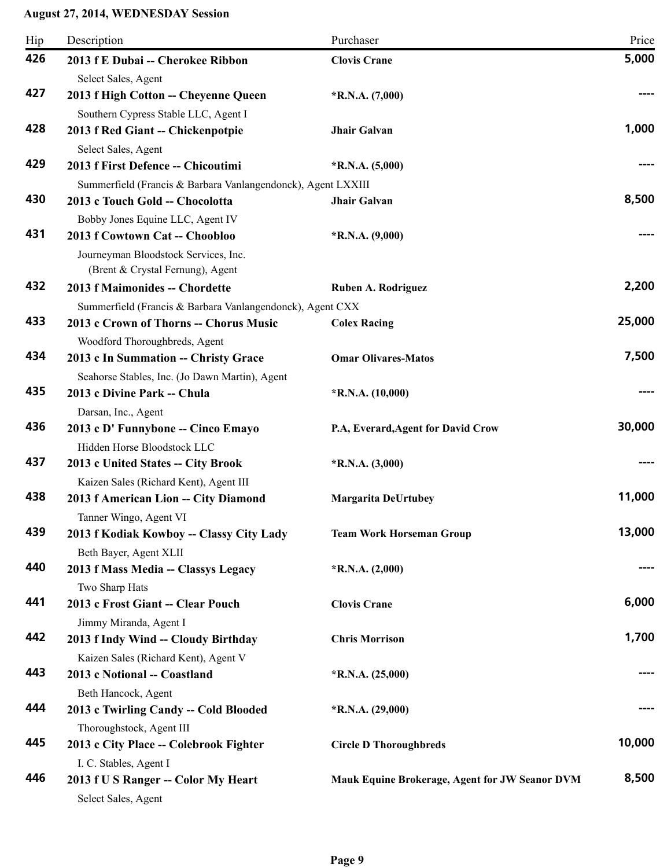| Hip | Description                                                              | Purchaser                                      | Price  |
|-----|--------------------------------------------------------------------------|------------------------------------------------|--------|
| 426 | 2013 f E Dubai -- Cherokee Ribbon                                        | <b>Clovis Crane</b>                            | 5,000  |
|     | Select Sales, Agent                                                      |                                                |        |
| 427 | 2013 f High Cotton -- Cheyenne Queen                                     | $*R.N.A. (7,000)$                              |        |
| 428 | Southern Cypress Stable LLC, Agent I                                     |                                                | 1,000  |
|     | 2013 f Red Giant -- Chickenpotpie                                        | Jhair Galvan                                   |        |
| 429 | Select Sales, Agent<br>2013 f First Defence -- Chicoutimi                | $*R.N.A. (5,000)$                              |        |
|     | Summerfield (Francis & Barbara Vanlangendonck), Agent LXXIII             |                                                |        |
| 430 | 2013 c Touch Gold -- Chocolotta                                          | <b>Jhair Galvan</b>                            | 8,500  |
|     | Bobby Jones Equine LLC, Agent IV                                         |                                                |        |
| 431 | 2013 f Cowtown Cat -- Choobloo                                           | $*R.N.A. (9,000)$                              |        |
|     | Journeyman Bloodstock Services, Inc.<br>(Brent & Crystal Fernung), Agent |                                                |        |
| 432 | 2013 f Maimonides -- Chordette                                           | Ruben A. Rodriguez                             | 2,200  |
|     | Summerfield (Francis & Barbara Vanlangendonck), Agent CXX                |                                                |        |
| 433 | 2013 c Crown of Thorns -- Chorus Music                                   | <b>Colex Racing</b>                            | 25,000 |
|     | Woodford Thoroughbreds, Agent                                            |                                                |        |
| 434 | 2013 c In Summation -- Christy Grace                                     | <b>Omar Olivares-Matos</b>                     | 7,500  |
|     | Seahorse Stables, Inc. (Jo Dawn Martin), Agent                           |                                                |        |
| 435 | 2013 c Divine Park -- Chula                                              | $*R.N.A. (10,000)$                             |        |
|     | Darsan, Inc., Agent                                                      |                                                |        |
| 436 | 2013 c D' Funnybone -- Cinco Emayo                                       | P.A, Everard, Agent for David Crow             | 30,000 |
|     | Hidden Horse Bloodstock LLC                                              |                                                |        |
| 437 | 2013 c United States -- City Brook                                       | $*R.N.A. (3,000)$                              |        |
|     | Kaizen Sales (Richard Kent), Agent III                                   |                                                |        |
| 438 | 2013 f American Lion -- City Diamond                                     | <b>Margarita DeUrtubey</b>                     | 11,000 |
|     | Tanner Wingo, Agent VI                                                   |                                                |        |
| 439 | 2013 f Kodiak Kowboy -- Classy City Lady<br>Beth Bayer, Agent XLII       | <b>Team Work Horseman Group</b>                | 13,000 |
| 440 | 2013 f Mass Media -- Classys Legacy                                      | $*R.N.A. (2,000)$                              |        |
|     | Two Sharp Hats                                                           |                                                |        |
| 441 | 2013 c Frost Giant -- Clear Pouch                                        | <b>Clovis Crane</b>                            | 6,000  |
|     | Jimmy Miranda, Agent I                                                   |                                                |        |
| 442 | 2013 f Indy Wind -- Cloudy Birthday                                      | <b>Chris Morrison</b>                          | 1,700  |
|     | Kaizen Sales (Richard Kent), Agent V                                     |                                                |        |
| 443 | 2013 c Notional -- Coastland                                             | $*R.N.A. (25,000)$                             |        |
|     | Beth Hancock, Agent                                                      |                                                |        |
| 444 | 2013 c Twirling Candy -- Cold Blooded                                    | $*R.N.A. (29,000)$                             |        |
|     | Thoroughstock, Agent III                                                 |                                                |        |
| 445 | 2013 c City Place -- Colebrook Fighter                                   | <b>Circle D Thoroughbreds</b>                  | 10,000 |
|     | I. C. Stables, Agent I                                                   |                                                |        |
| 446 | 2013 f U S Ranger -- Color My Heart<br>Select Sales, Agent               | Mauk Equine Brokerage, Agent for JW Seanor DVM | 8,500  |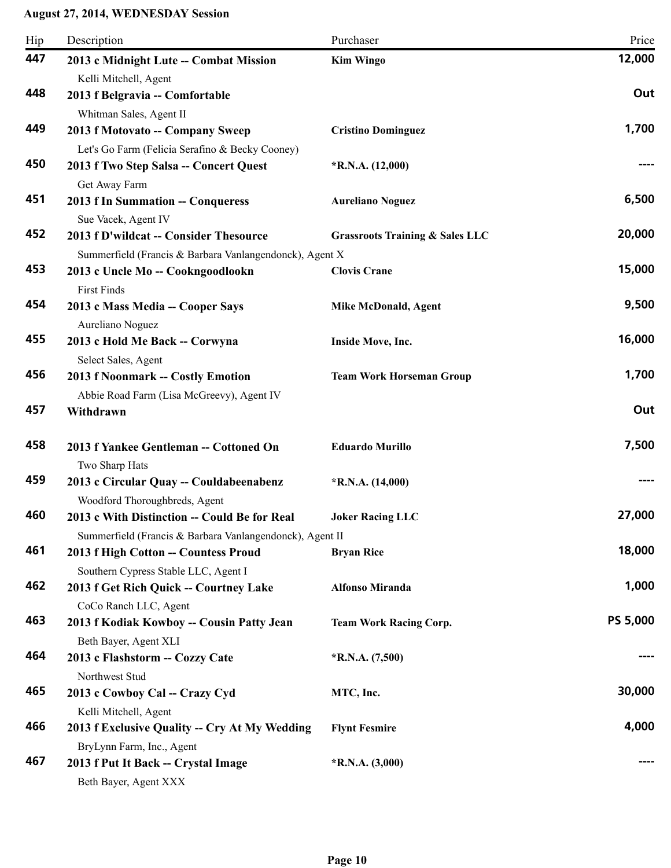| Hip | Description                                                        | Purchaser                                  | Price           |
|-----|--------------------------------------------------------------------|--------------------------------------------|-----------------|
| 447 | 2013 c Midnight Lute -- Combat Mission                             | <b>Kim Wingo</b>                           | 12,000          |
|     | Kelli Mitchell, Agent                                              |                                            |                 |
| 448 | 2013 f Belgravia -- Comfortable                                    |                                            | Out             |
|     | Whitman Sales, Agent II                                            |                                            |                 |
| 449 | 2013 f Motovato -- Company Sweep                                   | <b>Cristino Dominguez</b>                  | 1,700           |
|     | Let's Go Farm (Felicia Serafino & Becky Cooney)                    |                                            |                 |
| 450 | 2013 f Two Step Salsa -- Concert Quest                             | $*R.N.A. (12,000)$                         |                 |
|     | Get Away Farm                                                      |                                            |                 |
| 451 | 2013 f In Summation -- Conqueress                                  | <b>Aureliano Noguez</b>                    | 6,500           |
| 452 | Sue Vacek, Agent IV<br>2013 f D'wildcat -- Consider Thesource      | <b>Grassroots Training &amp; Sales LLC</b> | 20,000          |
|     | Summerfield (Francis & Barbara Vanlangendonck), Agent X            |                                            |                 |
| 453 | 2013 c Uncle Mo -- Cookngoodlookn                                  | <b>Clovis Crane</b>                        | 15,000          |
|     | <b>First Finds</b>                                                 |                                            |                 |
| 454 | 2013 c Mass Media -- Cooper Says                                   | <b>Mike McDonald, Agent</b>                | 9,500           |
|     | Aureliano Noguez                                                   |                                            |                 |
| 455 | 2013 c Hold Me Back -- Corwyna                                     | Inside Move, Inc.                          | 16,000          |
|     | Select Sales, Agent                                                |                                            |                 |
| 456 | 2013 f Noonmark -- Costly Emotion                                  | <b>Team Work Horseman Group</b>            | 1,700           |
|     | Abbie Road Farm (Lisa McGreevy), Agent IV                          |                                            |                 |
| 457 | Withdrawn                                                          |                                            | Out             |
| 458 | 2013 f Yankee Gentleman -- Cottoned On                             | <b>Eduardo Murillo</b>                     | 7,500           |
|     | Two Sharp Hats                                                     |                                            |                 |
| 459 | 2013 c Circular Quay -- Couldabeenabenz                            | $*R.N.A. (14,000)$                         |                 |
|     | Woodford Thoroughbreds, Agent                                      |                                            |                 |
| 460 | 2013 c With Distinction -- Could Be for Real                       | <b>Joker Racing LLC</b>                    | 27,000          |
|     | Summerfield (Francis & Barbara Vanlangendonck), Agent II           |                                            |                 |
| 461 | 2013 f High Cotton -- Countess Proud                               | <b>Bryan Rice</b>                          | 18,000          |
|     | Southern Cypress Stable LLC, Agent I                               |                                            |                 |
| 462 | 2013 f Get Rich Quick -- Courtney Lake                             | <b>Alfonso Miranda</b>                     | 1,000           |
|     | CoCo Ranch LLC, Agent                                              |                                            |                 |
| 463 | 2013 f Kodiak Kowboy -- Cousin Patty Jean<br>Beth Bayer, Agent XLI | <b>Team Work Racing Corp.</b>              | <b>PS 5,000</b> |
| 464 | 2013 c Flashstorm -- Cozzy Cate                                    | $*R.N.A. (7,500)$                          |                 |
|     | Northwest Stud                                                     |                                            |                 |
| 465 | 2013 c Cowboy Cal -- Crazy Cyd                                     | MTC, Inc.                                  | 30,000          |
|     | Kelli Mitchell, Agent                                              |                                            |                 |
| 466 | 2013 f Exclusive Quality -- Cry At My Wedding                      | <b>Flynt Fesmire</b>                       | 4,000           |
|     | BryLynn Farm, Inc., Agent                                          |                                            |                 |
| 467 | 2013 f Put It Back -- Crystal Image                                | $*R.N.A. (3,000)$                          |                 |
|     | Beth Bayer, Agent XXX                                              |                                            |                 |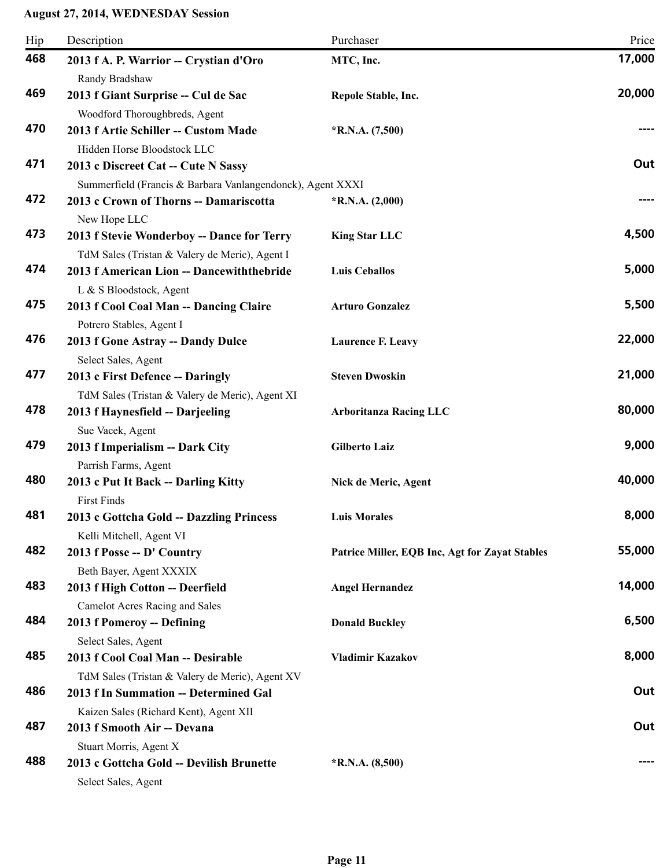| Hip | Description                                                                                 | Purchaser                                      | Price  |
|-----|---------------------------------------------------------------------------------------------|------------------------------------------------|--------|
| 468 | 2013 f A. P. Warrior -- Crystian d'Oro                                                      | MTC, Inc.                                      | 17,000 |
|     | Randy Bradshaw                                                                              |                                                |        |
| 469 | 2013 f Giant Surprise -- Cul de Sac                                                         | Repole Stable, Inc.                            | 20,000 |
|     | Woodford Thoroughbreds, Agent                                                               |                                                |        |
| 470 | 2013 f Artie Schiller -- Custom Made                                                        | $*R.N.A. (7,500)$                              |        |
|     | Hidden Horse Bloodstock LLC                                                                 |                                                |        |
| 471 | 2013 c Discreet Cat -- Cute N Sassy                                                         |                                                | Out    |
|     | Summerfield (Francis & Barbara Vanlangendonck), Agent XXXI                                  |                                                |        |
| 472 | 2013 c Crown of Thorns -- Damariscotta                                                      | $*R.N.A. (2,000)$                              |        |
| 473 | New Hope LLC                                                                                |                                                | 4,500  |
|     | 2013 f Stevie Wonderboy -- Dance for Terry                                                  | <b>King Star LLC</b>                           |        |
| 474 | TdM Sales (Tristan & Valery de Meric), Agent I<br>2013 f American Lion -- Dancewiththebride | <b>Luis Ceballos</b>                           | 5,000  |
|     | L & S Bloodstock, Agent                                                                     |                                                |        |
| 475 | 2013 f Cool Coal Man -- Dancing Claire                                                      | <b>Arturo Gonzalez</b>                         | 5,500  |
|     | Potrero Stables, Agent I                                                                    |                                                |        |
| 476 | 2013 f Gone Astray -- Dandy Dulce                                                           | <b>Laurence F. Leavy</b>                       | 22,000 |
|     | Select Sales, Agent                                                                         |                                                |        |
| 477 | 2013 c First Defence -- Daringly                                                            | <b>Steven Dwoskin</b>                          | 21,000 |
|     | TdM Sales (Tristan & Valery de Meric), Agent XI                                             |                                                |        |
| 478 | 2013 f Haynesfield -- Darjeeling                                                            | <b>Arboritanza Racing LLC</b>                  | 80,000 |
|     | Sue Vacek, Agent                                                                            |                                                |        |
| 479 | 2013 f Imperialism -- Dark City                                                             | <b>Gilberto Laiz</b>                           | 9,000  |
|     | Parrish Farms, Agent                                                                        |                                                |        |
| 480 | 2013 c Put It Back -- Darling Kitty                                                         | Nick de Meric, Agent                           | 40,000 |
|     | <b>First Finds</b>                                                                          |                                                |        |
| 481 | 2013 c Gottcha Gold -- Dazzling Princess                                                    | <b>Luis Morales</b>                            | 8,000  |
| 482 | Kelli Mitchell, Agent VI                                                                    |                                                | 55,000 |
|     | 2013 f Posse -- D' Country<br>Beth Bayer, Agent XXXIX                                       | Patrice Miller, EQB Inc, Agt for Zayat Stables |        |
| 483 | 2013 f High Cotton -- Deerfield                                                             | <b>Angel Hernandez</b>                         | 14,000 |
|     | <b>Camelot Acres Racing and Sales</b>                                                       |                                                |        |
| 484 | 2013 f Pomeroy -- Defining                                                                  | <b>Donald Buckley</b>                          | 6,500  |
|     | Select Sales, Agent                                                                         |                                                |        |
| 485 | 2013 f Cool Coal Man -- Desirable                                                           | <b>Vladimir Kazakov</b>                        | 8,000  |
|     | TdM Sales (Tristan & Valery de Meric), Agent XV                                             |                                                |        |
| 486 | 2013 f In Summation -- Determined Gal                                                       |                                                | Out    |
|     | Kaizen Sales (Richard Kent), Agent XII                                                      |                                                |        |
| 487 | 2013 f Smooth Air -- Devana                                                                 |                                                | Out    |
|     | Stuart Morris, Agent X                                                                      |                                                |        |
| 488 | 2013 c Gottcha Gold -- Devilish Brunette                                                    | $*R.N.A. (8,500)$                              |        |
|     | Select Sales, Agent                                                                         |                                                |        |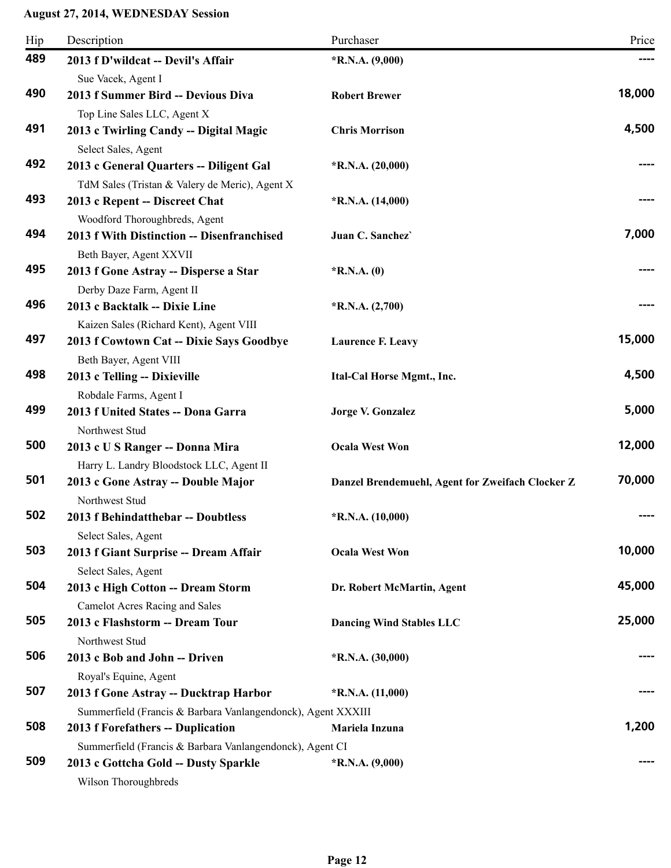| Hip | Description                                                           | Purchaser                                        | Price  |
|-----|-----------------------------------------------------------------------|--------------------------------------------------|--------|
| 489 | 2013 f D'wildcat -- Devil's Affair                                    | $*R.N.A. (9,000)$                                |        |
|     | Sue Vacek, Agent I                                                    |                                                  |        |
| 490 | 2013 f Summer Bird -- Devious Diva                                    | <b>Robert Brewer</b>                             | 18,000 |
|     | Top Line Sales LLC, Agent X                                           |                                                  |        |
| 491 | 2013 c Twirling Candy -- Digital Magic                                | <b>Chris Morrison</b>                            | 4,500  |
|     | Select Sales, Agent                                                   |                                                  |        |
| 492 | 2013 c General Quarters -- Diligent Gal                               | $*R.N.A. (20,000)$                               |        |
|     | TdM Sales (Tristan & Valery de Meric), Agent X                        |                                                  |        |
| 493 | 2013 c Repent -- Discreet Chat                                        | $*R.N.A. (14,000)$                               |        |
|     | Woodford Thoroughbreds, Agent                                         |                                                  |        |
| 494 | 2013 f With Distinction -- Disenfranchised<br>Beth Bayer, Agent XXVII | Juan C. Sanchez                                  | 7,000  |
| 495 | 2013 f Gone Astray -- Disperse a Star                                 | $*$ R.N.A. $(0)$                                 |        |
|     | Derby Daze Farm, Agent II                                             |                                                  |        |
| 496 | 2013 c Backtalk -- Dixie Line                                         | $*R.N.A. (2,700)$                                |        |
|     | Kaizen Sales (Richard Kent), Agent VIII                               |                                                  |        |
| 497 | 2013 f Cowtown Cat -- Dixie Says Goodbye                              | <b>Laurence F. Leavy</b>                         | 15,000 |
|     | Beth Bayer, Agent VIII                                                |                                                  |        |
| 498 | 2013 c Telling -- Dixieville                                          | Ital-Cal Horse Mgmt., Inc.                       | 4,500  |
|     | Robdale Farms, Agent I                                                |                                                  |        |
| 499 | 2013 f United States -- Dona Garra                                    | <b>Jorge V. Gonzalez</b>                         | 5,000  |
|     | Northwest Stud                                                        |                                                  |        |
| 500 | 2013 c U S Ranger -- Donna Mira                                       | <b>Ocala West Won</b>                            | 12,000 |
|     | Harry L. Landry Bloodstock LLC, Agent II                              |                                                  |        |
| 501 | 2013 c Gone Astray -- Double Major                                    | Danzel Brendemuehl, Agent for Zweifach Clocker Z | 70,000 |
|     | Northwest Stud                                                        |                                                  |        |
| 502 | 2013 f Behindatthebar -- Doubtless                                    | $*$ R.N.A. $(10,000)$                            |        |
|     | Select Sales, Agent                                                   |                                                  |        |
| 503 | 2013 f Giant Surprise -- Dream Affair                                 | <b>Ocala West Won</b>                            | 10,000 |
|     | Select Sales, Agent                                                   |                                                  |        |
| 504 | 2013 c High Cotton -- Dream Storm                                     | Dr. Robert McMartin, Agent                       | 45,000 |
|     | <b>Camelot Acres Racing and Sales</b>                                 |                                                  |        |
| 505 | 2013 c Flashstorm -- Dream Tour                                       | <b>Dancing Wind Stables LLC</b>                  | 25,000 |
|     | Northwest Stud                                                        |                                                  |        |
| 506 | 2013 c Bob and John -- Driven                                         | $*R.N.A. (30,000)$                               |        |
|     | Royal's Equine, Agent                                                 |                                                  |        |
| 507 | 2013 f Gone Astray -- Ducktrap Harbor                                 | $*$ R.N.A. $(11,000)$                            |        |
|     | Summerfield (Francis & Barbara Vanlangendonck), Agent XXXIII          |                                                  |        |
| 508 | 2013 f Forefathers -- Duplication                                     | Mariela Inzuna                                   | 1,200  |
|     | Summerfield (Francis & Barbara Vanlangendonck), Agent CI              |                                                  |        |
| 509 | 2013 c Gottcha Gold -- Dusty Sparkle                                  | $*R.N.A. (9,000)$                                |        |
|     | Wilson Thoroughbreds                                                  |                                                  |        |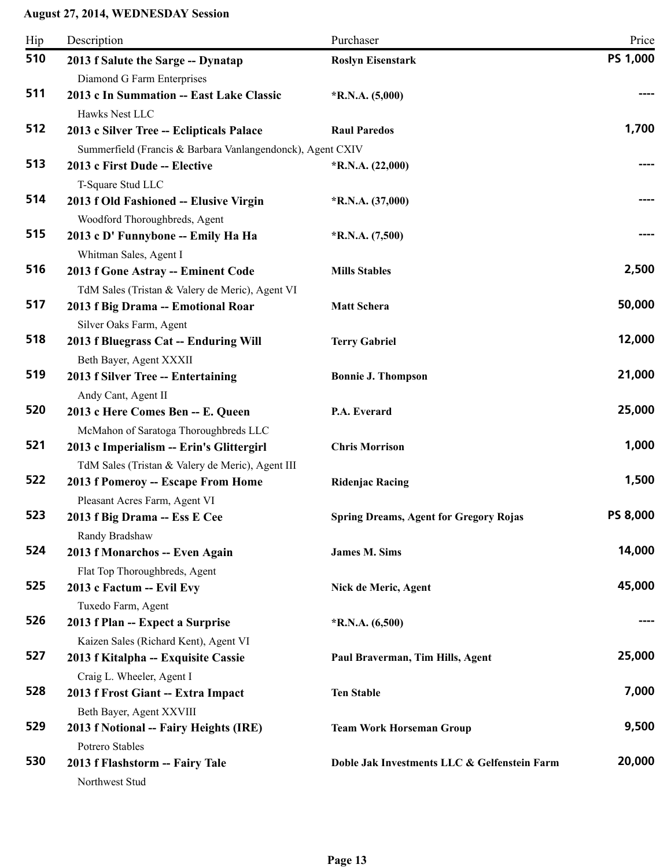| 510<br>PS 1,000<br><b>Roslyn Eisenstark</b><br>2013 f Salute the Sarge -- Dynatap<br>Diamond G Farm Enterprises<br>511<br>2013 c In Summation -- East Lake Classic<br>$*R.N.A. (5,000)$<br>Hawks Nest LLC<br>1,700<br>512<br>2013 c Silver Tree -- Eclipticals Palace<br><b>Raul Paredos</b><br>Summerfield (Francis & Barbara Vanlangendonck), Agent CXIV<br>513<br>2013 c First Dude -- Elective<br>$*R.N.A. (22,000)$<br>T-Square Stud LLC<br>514<br>2013 f Old Fashioned -- Elusive Virgin<br>$*R.N.A. (37,000)$<br>Woodford Thoroughbreds, Agent<br>515<br>2013 c D' Funnybone -- Emily Ha Ha<br>$*R.N.A. (7,500)$<br>Whitman Sales, Agent I<br>516<br>2,500<br>2013 f Gone Astray -- Eminent Code<br><b>Mills Stables</b><br>TdM Sales (Tristan & Valery de Meric), Agent VI<br>50,000<br>517<br>2013 f Big Drama -- Emotional Roar<br><b>Matt Schera</b><br>Silver Oaks Farm, Agent<br>12,000<br>518<br>2013 f Bluegrass Cat -- Enduring Will<br><b>Terry Gabriel</b><br>Beth Bayer, Agent XXXII<br>21,000<br>519<br>2013 f Silver Tree -- Entertaining<br><b>Bonnie J. Thompson</b><br>Andy Cant, Agent II<br>25,000<br>520<br>P.A. Everard<br>2013 c Here Comes Ben -- E. Queen<br>McMahon of Saratoga Thoroughbreds LLC<br>1,000<br>521<br>2013 c Imperialism -- Erin's Glittergirl<br><b>Chris Morrison</b><br>TdM Sales (Tristan & Valery de Meric), Agent III<br>522<br>1,500<br>2013 f Pomeroy -- Escape From Home<br><b>Ridenjac Racing</b><br>Pleasant Acres Farm, Agent VI<br>PS 8,000<br>523<br>2013 f Big Drama -- Ess E Cee<br><b>Spring Dreams, Agent for Gregory Rojas</b><br>Randy Bradshaw<br>14,000<br>524<br><b>James M. Sims</b><br>2013 f Monarchos -- Even Again<br>Flat Top Thoroughbreds, Agent<br>525<br>45,000<br>2013 c Factum -- Evil Evy<br>Nick de Meric, Agent<br>Tuxedo Farm, Agent<br>526<br>2013 f Plan -- Expect a Surprise<br>$*$ R.N.A. $(6,500)$<br>Kaizen Sales (Richard Kent), Agent VI<br>527<br>25,000<br>2013 f Kitalpha -- Exquisite Cassie<br>Paul Braverman, Tim Hills, Agent<br>Craig L. Wheeler, Agent I<br>528<br>7,000<br>2013 f Frost Giant -- Extra Impact<br><b>Ten Stable</b><br>Beth Bayer, Agent XXVIII | Hip | Description | Purchaser | Price |
|------------------------------------------------------------------------------------------------------------------------------------------------------------------------------------------------------------------------------------------------------------------------------------------------------------------------------------------------------------------------------------------------------------------------------------------------------------------------------------------------------------------------------------------------------------------------------------------------------------------------------------------------------------------------------------------------------------------------------------------------------------------------------------------------------------------------------------------------------------------------------------------------------------------------------------------------------------------------------------------------------------------------------------------------------------------------------------------------------------------------------------------------------------------------------------------------------------------------------------------------------------------------------------------------------------------------------------------------------------------------------------------------------------------------------------------------------------------------------------------------------------------------------------------------------------------------------------------------------------------------------------------------------------------------------------------------------------------------------------------------------------------------------------------------------------------------------------------------------------------------------------------------------------------------------------------------------------------------------------------------------------------------------------------------------------------------------------------------------------------------------------------------------------------------|-----|-------------|-----------|-------|
|                                                                                                                                                                                                                                                                                                                                                                                                                                                                                                                                                                                                                                                                                                                                                                                                                                                                                                                                                                                                                                                                                                                                                                                                                                                                                                                                                                                                                                                                                                                                                                                                                                                                                                                                                                                                                                                                                                                                                                                                                                                                                                                                                                        |     |             |           |       |
|                                                                                                                                                                                                                                                                                                                                                                                                                                                                                                                                                                                                                                                                                                                                                                                                                                                                                                                                                                                                                                                                                                                                                                                                                                                                                                                                                                                                                                                                                                                                                                                                                                                                                                                                                                                                                                                                                                                                                                                                                                                                                                                                                                        |     |             |           |       |
|                                                                                                                                                                                                                                                                                                                                                                                                                                                                                                                                                                                                                                                                                                                                                                                                                                                                                                                                                                                                                                                                                                                                                                                                                                                                                                                                                                                                                                                                                                                                                                                                                                                                                                                                                                                                                                                                                                                                                                                                                                                                                                                                                                        |     |             |           |       |
|                                                                                                                                                                                                                                                                                                                                                                                                                                                                                                                                                                                                                                                                                                                                                                                                                                                                                                                                                                                                                                                                                                                                                                                                                                                                                                                                                                                                                                                                                                                                                                                                                                                                                                                                                                                                                                                                                                                                                                                                                                                                                                                                                                        |     |             |           |       |
|                                                                                                                                                                                                                                                                                                                                                                                                                                                                                                                                                                                                                                                                                                                                                                                                                                                                                                                                                                                                                                                                                                                                                                                                                                                                                                                                                                                                                                                                                                                                                                                                                                                                                                                                                                                                                                                                                                                                                                                                                                                                                                                                                                        |     |             |           |       |
|                                                                                                                                                                                                                                                                                                                                                                                                                                                                                                                                                                                                                                                                                                                                                                                                                                                                                                                                                                                                                                                                                                                                                                                                                                                                                                                                                                                                                                                                                                                                                                                                                                                                                                                                                                                                                                                                                                                                                                                                                                                                                                                                                                        |     |             |           |       |
|                                                                                                                                                                                                                                                                                                                                                                                                                                                                                                                                                                                                                                                                                                                                                                                                                                                                                                                                                                                                                                                                                                                                                                                                                                                                                                                                                                                                                                                                                                                                                                                                                                                                                                                                                                                                                                                                                                                                                                                                                                                                                                                                                                        |     |             |           |       |
|                                                                                                                                                                                                                                                                                                                                                                                                                                                                                                                                                                                                                                                                                                                                                                                                                                                                                                                                                                                                                                                                                                                                                                                                                                                                                                                                                                                                                                                                                                                                                                                                                                                                                                                                                                                                                                                                                                                                                                                                                                                                                                                                                                        |     |             |           |       |
|                                                                                                                                                                                                                                                                                                                                                                                                                                                                                                                                                                                                                                                                                                                                                                                                                                                                                                                                                                                                                                                                                                                                                                                                                                                                                                                                                                                                                                                                                                                                                                                                                                                                                                                                                                                                                                                                                                                                                                                                                                                                                                                                                                        |     |             |           |       |
|                                                                                                                                                                                                                                                                                                                                                                                                                                                                                                                                                                                                                                                                                                                                                                                                                                                                                                                                                                                                                                                                                                                                                                                                                                                                                                                                                                                                                                                                                                                                                                                                                                                                                                                                                                                                                                                                                                                                                                                                                                                                                                                                                                        |     |             |           |       |
|                                                                                                                                                                                                                                                                                                                                                                                                                                                                                                                                                                                                                                                                                                                                                                                                                                                                                                                                                                                                                                                                                                                                                                                                                                                                                                                                                                                                                                                                                                                                                                                                                                                                                                                                                                                                                                                                                                                                                                                                                                                                                                                                                                        |     |             |           |       |
|                                                                                                                                                                                                                                                                                                                                                                                                                                                                                                                                                                                                                                                                                                                                                                                                                                                                                                                                                                                                                                                                                                                                                                                                                                                                                                                                                                                                                                                                                                                                                                                                                                                                                                                                                                                                                                                                                                                                                                                                                                                                                                                                                                        |     |             |           |       |
|                                                                                                                                                                                                                                                                                                                                                                                                                                                                                                                                                                                                                                                                                                                                                                                                                                                                                                                                                                                                                                                                                                                                                                                                                                                                                                                                                                                                                                                                                                                                                                                                                                                                                                                                                                                                                                                                                                                                                                                                                                                                                                                                                                        |     |             |           |       |
|                                                                                                                                                                                                                                                                                                                                                                                                                                                                                                                                                                                                                                                                                                                                                                                                                                                                                                                                                                                                                                                                                                                                                                                                                                                                                                                                                                                                                                                                                                                                                                                                                                                                                                                                                                                                                                                                                                                                                                                                                                                                                                                                                                        |     |             |           |       |
|                                                                                                                                                                                                                                                                                                                                                                                                                                                                                                                                                                                                                                                                                                                                                                                                                                                                                                                                                                                                                                                                                                                                                                                                                                                                                                                                                                                                                                                                                                                                                                                                                                                                                                                                                                                                                                                                                                                                                                                                                                                                                                                                                                        |     |             |           |       |
|                                                                                                                                                                                                                                                                                                                                                                                                                                                                                                                                                                                                                                                                                                                                                                                                                                                                                                                                                                                                                                                                                                                                                                                                                                                                                                                                                                                                                                                                                                                                                                                                                                                                                                                                                                                                                                                                                                                                                                                                                                                                                                                                                                        |     |             |           |       |
|                                                                                                                                                                                                                                                                                                                                                                                                                                                                                                                                                                                                                                                                                                                                                                                                                                                                                                                                                                                                                                                                                                                                                                                                                                                                                                                                                                                                                                                                                                                                                                                                                                                                                                                                                                                                                                                                                                                                                                                                                                                                                                                                                                        |     |             |           |       |
|                                                                                                                                                                                                                                                                                                                                                                                                                                                                                                                                                                                                                                                                                                                                                                                                                                                                                                                                                                                                                                                                                                                                                                                                                                                                                                                                                                                                                                                                                                                                                                                                                                                                                                                                                                                                                                                                                                                                                                                                                                                                                                                                                                        |     |             |           |       |
|                                                                                                                                                                                                                                                                                                                                                                                                                                                                                                                                                                                                                                                                                                                                                                                                                                                                                                                                                                                                                                                                                                                                                                                                                                                                                                                                                                                                                                                                                                                                                                                                                                                                                                                                                                                                                                                                                                                                                                                                                                                                                                                                                                        |     |             |           |       |
|                                                                                                                                                                                                                                                                                                                                                                                                                                                                                                                                                                                                                                                                                                                                                                                                                                                                                                                                                                                                                                                                                                                                                                                                                                                                                                                                                                                                                                                                                                                                                                                                                                                                                                                                                                                                                                                                                                                                                                                                                                                                                                                                                                        |     |             |           |       |
|                                                                                                                                                                                                                                                                                                                                                                                                                                                                                                                                                                                                                                                                                                                                                                                                                                                                                                                                                                                                                                                                                                                                                                                                                                                                                                                                                                                                                                                                                                                                                                                                                                                                                                                                                                                                                                                                                                                                                                                                                                                                                                                                                                        |     |             |           |       |
|                                                                                                                                                                                                                                                                                                                                                                                                                                                                                                                                                                                                                                                                                                                                                                                                                                                                                                                                                                                                                                                                                                                                                                                                                                                                                                                                                                                                                                                                                                                                                                                                                                                                                                                                                                                                                                                                                                                                                                                                                                                                                                                                                                        |     |             |           |       |
|                                                                                                                                                                                                                                                                                                                                                                                                                                                                                                                                                                                                                                                                                                                                                                                                                                                                                                                                                                                                                                                                                                                                                                                                                                                                                                                                                                                                                                                                                                                                                                                                                                                                                                                                                                                                                                                                                                                                                                                                                                                                                                                                                                        |     |             |           |       |
|                                                                                                                                                                                                                                                                                                                                                                                                                                                                                                                                                                                                                                                                                                                                                                                                                                                                                                                                                                                                                                                                                                                                                                                                                                                                                                                                                                                                                                                                                                                                                                                                                                                                                                                                                                                                                                                                                                                                                                                                                                                                                                                                                                        |     |             |           |       |
|                                                                                                                                                                                                                                                                                                                                                                                                                                                                                                                                                                                                                                                                                                                                                                                                                                                                                                                                                                                                                                                                                                                                                                                                                                                                                                                                                                                                                                                                                                                                                                                                                                                                                                                                                                                                                                                                                                                                                                                                                                                                                                                                                                        |     |             |           |       |
|                                                                                                                                                                                                                                                                                                                                                                                                                                                                                                                                                                                                                                                                                                                                                                                                                                                                                                                                                                                                                                                                                                                                                                                                                                                                                                                                                                                                                                                                                                                                                                                                                                                                                                                                                                                                                                                                                                                                                                                                                                                                                                                                                                        |     |             |           |       |
|                                                                                                                                                                                                                                                                                                                                                                                                                                                                                                                                                                                                                                                                                                                                                                                                                                                                                                                                                                                                                                                                                                                                                                                                                                                                                                                                                                                                                                                                                                                                                                                                                                                                                                                                                                                                                                                                                                                                                                                                                                                                                                                                                                        |     |             |           |       |
|                                                                                                                                                                                                                                                                                                                                                                                                                                                                                                                                                                                                                                                                                                                                                                                                                                                                                                                                                                                                                                                                                                                                                                                                                                                                                                                                                                                                                                                                                                                                                                                                                                                                                                                                                                                                                                                                                                                                                                                                                                                                                                                                                                        |     |             |           |       |
|                                                                                                                                                                                                                                                                                                                                                                                                                                                                                                                                                                                                                                                                                                                                                                                                                                                                                                                                                                                                                                                                                                                                                                                                                                                                                                                                                                                                                                                                                                                                                                                                                                                                                                                                                                                                                                                                                                                                                                                                                                                                                                                                                                        |     |             |           |       |
|                                                                                                                                                                                                                                                                                                                                                                                                                                                                                                                                                                                                                                                                                                                                                                                                                                                                                                                                                                                                                                                                                                                                                                                                                                                                                                                                                                                                                                                                                                                                                                                                                                                                                                                                                                                                                                                                                                                                                                                                                                                                                                                                                                        |     |             |           |       |
|                                                                                                                                                                                                                                                                                                                                                                                                                                                                                                                                                                                                                                                                                                                                                                                                                                                                                                                                                                                                                                                                                                                                                                                                                                                                                                                                                                                                                                                                                                                                                                                                                                                                                                                                                                                                                                                                                                                                                                                                                                                                                                                                                                        |     |             |           |       |
|                                                                                                                                                                                                                                                                                                                                                                                                                                                                                                                                                                                                                                                                                                                                                                                                                                                                                                                                                                                                                                                                                                                                                                                                                                                                                                                                                                                                                                                                                                                                                                                                                                                                                                                                                                                                                                                                                                                                                                                                                                                                                                                                                                        |     |             |           |       |
|                                                                                                                                                                                                                                                                                                                                                                                                                                                                                                                                                                                                                                                                                                                                                                                                                                                                                                                                                                                                                                                                                                                                                                                                                                                                                                                                                                                                                                                                                                                                                                                                                                                                                                                                                                                                                                                                                                                                                                                                                                                                                                                                                                        |     |             |           |       |
|                                                                                                                                                                                                                                                                                                                                                                                                                                                                                                                                                                                                                                                                                                                                                                                                                                                                                                                                                                                                                                                                                                                                                                                                                                                                                                                                                                                                                                                                                                                                                                                                                                                                                                                                                                                                                                                                                                                                                                                                                                                                                                                                                                        |     |             |           |       |
|                                                                                                                                                                                                                                                                                                                                                                                                                                                                                                                                                                                                                                                                                                                                                                                                                                                                                                                                                                                                                                                                                                                                                                                                                                                                                                                                                                                                                                                                                                                                                                                                                                                                                                                                                                                                                                                                                                                                                                                                                                                                                                                                                                        | 529 |             |           | 9,500 |
| 2013 f Notional -- Fairy Heights (IRE)<br><b>Team Work Horseman Group</b><br>Potrero Stables                                                                                                                                                                                                                                                                                                                                                                                                                                                                                                                                                                                                                                                                                                                                                                                                                                                                                                                                                                                                                                                                                                                                                                                                                                                                                                                                                                                                                                                                                                                                                                                                                                                                                                                                                                                                                                                                                                                                                                                                                                                                           |     |             |           |       |
| 20,000<br>530<br>Doble Jak Investments LLC & Gelfenstein Farm<br>2013 f Flashstorm -- Fairy Tale                                                                                                                                                                                                                                                                                                                                                                                                                                                                                                                                                                                                                                                                                                                                                                                                                                                                                                                                                                                                                                                                                                                                                                                                                                                                                                                                                                                                                                                                                                                                                                                                                                                                                                                                                                                                                                                                                                                                                                                                                                                                       |     |             |           |       |
| Northwest Stud                                                                                                                                                                                                                                                                                                                                                                                                                                                                                                                                                                                                                                                                                                                                                                                                                                                                                                                                                                                                                                                                                                                                                                                                                                                                                                                                                                                                                                                                                                                                                                                                                                                                                                                                                                                                                                                                                                                                                                                                                                                                                                                                                         |     |             |           |       |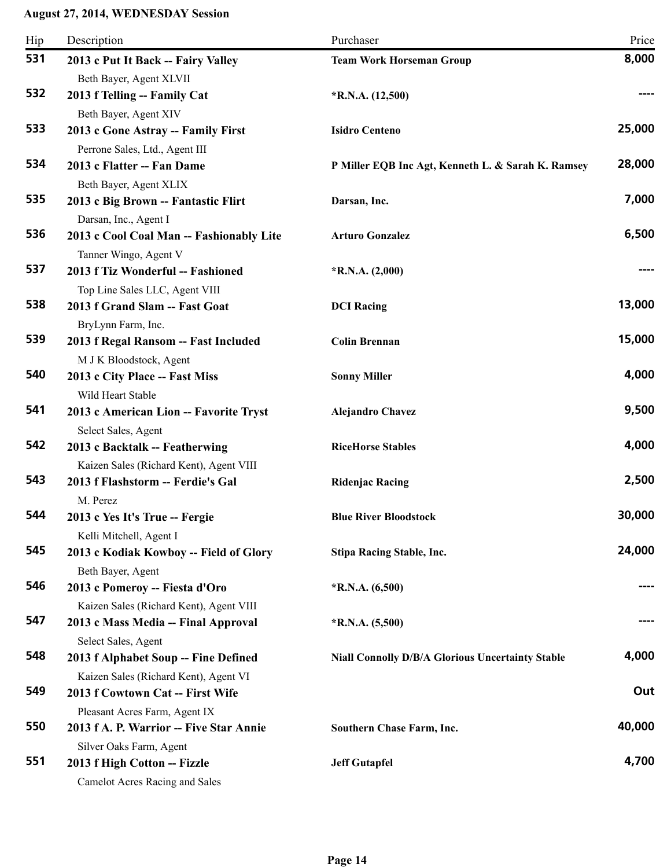| Hip | Description                                                | Purchaser                                               | Price  |
|-----|------------------------------------------------------------|---------------------------------------------------------|--------|
| 531 | 2013 c Put It Back -- Fairy Valley                         | <b>Team Work Horseman Group</b>                         | 8,000  |
|     | Beth Bayer, Agent XLVII                                    |                                                         |        |
| 532 | 2013 f Telling -- Family Cat                               | $*R.N.A. (12,500)$                                      |        |
|     | Beth Bayer, Agent XIV                                      |                                                         |        |
| 533 | 2013 c Gone Astray -- Family First                         | <b>Isidro Centeno</b>                                   | 25,000 |
|     | Perrone Sales, Ltd., Agent III                             |                                                         |        |
| 534 | 2013 c Flatter -- Fan Dame                                 | P Miller EQB Inc Agt, Kenneth L. & Sarah K. Ramsey      | 28,000 |
|     | Beth Bayer, Agent XLIX                                     |                                                         |        |
| 535 | 2013 c Big Brown -- Fantastic Flirt                        | Darsan, Inc.                                            | 7,000  |
|     | Darsan, Inc., Agent I                                      |                                                         |        |
| 536 | 2013 c Cool Coal Man -- Fashionably Lite                   | <b>Arturo Gonzalez</b>                                  | 6,500  |
|     | Tanner Wingo, Agent V                                      |                                                         |        |
| 537 | 2013 f Tiz Wonderful -- Fashioned                          | $*R.N.A. (2,000)$                                       |        |
| 538 | Top Line Sales LLC, Agent VIII                             |                                                         | 13,000 |
|     | 2013 f Grand Slam -- Fast Goat                             | <b>DCI</b> Racing                                       |        |
| 539 | BryLynn Farm, Inc.<br>2013 f Regal Ransom -- Fast Included | <b>Colin Brennan</b>                                    | 15,000 |
|     | M J K Bloodstock, Agent                                    |                                                         |        |
| 540 | 2013 c City Place -- Fast Miss                             | <b>Sonny Miller</b>                                     | 4,000  |
|     | Wild Heart Stable                                          |                                                         |        |
| 541 | 2013 c American Lion -- Favorite Tryst                     | <b>Alejandro Chavez</b>                                 | 9,500  |
|     | Select Sales, Agent                                        |                                                         |        |
| 542 | 2013 c Backtalk -- Featherwing                             | <b>RiceHorse Stables</b>                                | 4,000  |
|     | Kaizen Sales (Richard Kent), Agent VIII                    |                                                         |        |
| 543 | 2013 f Flashstorm -- Ferdie's Gal                          | <b>Ridenjac Racing</b>                                  | 2,500  |
|     | M. Perez                                                   |                                                         |        |
| 544 | 2013 c Yes It's True -- Fergie                             | <b>Blue River Bloodstock</b>                            | 30,000 |
|     | Kelli Mitchell, Agent I                                    |                                                         |        |
| 545 | 2013 c Kodiak Kowboy -- Field of Glory                     | <b>Stipa Racing Stable, Inc.</b>                        | 24,000 |
|     | Beth Bayer, Agent                                          |                                                         |        |
| 546 | 2013 c Pomeroy -- Fiesta d'Oro                             | $*R.N.A. (6,500)$                                       |        |
|     | Kaizen Sales (Richard Kent), Agent VIII                    |                                                         |        |
| 547 | 2013 c Mass Media -- Final Approval                        | $*R.N.A. (5,500)$                                       | ----   |
|     | Select Sales, Agent                                        |                                                         |        |
| 548 | 2013 f Alphabet Soup -- Fine Defined                       | <b>Niall Connolly D/B/A Glorious Uncertainty Stable</b> | 4,000  |
|     | Kaizen Sales (Richard Kent), Agent VI                      |                                                         |        |
| 549 | 2013 f Cowtown Cat -- First Wife                           |                                                         | Out    |
|     | Pleasant Acres Farm, Agent IX                              |                                                         |        |
| 550 | 2013 f A. P. Warrior -- Five Star Annie                    | <b>Southern Chase Farm, Inc.</b>                        | 40,000 |
| 551 | Silver Oaks Farm, Agent                                    |                                                         | 4,700  |
|     | 2013 f High Cotton -- Fizzle                               | <b>Jeff Gutapfel</b>                                    |        |
|     | <b>Camelot Acres Racing and Sales</b>                      |                                                         |        |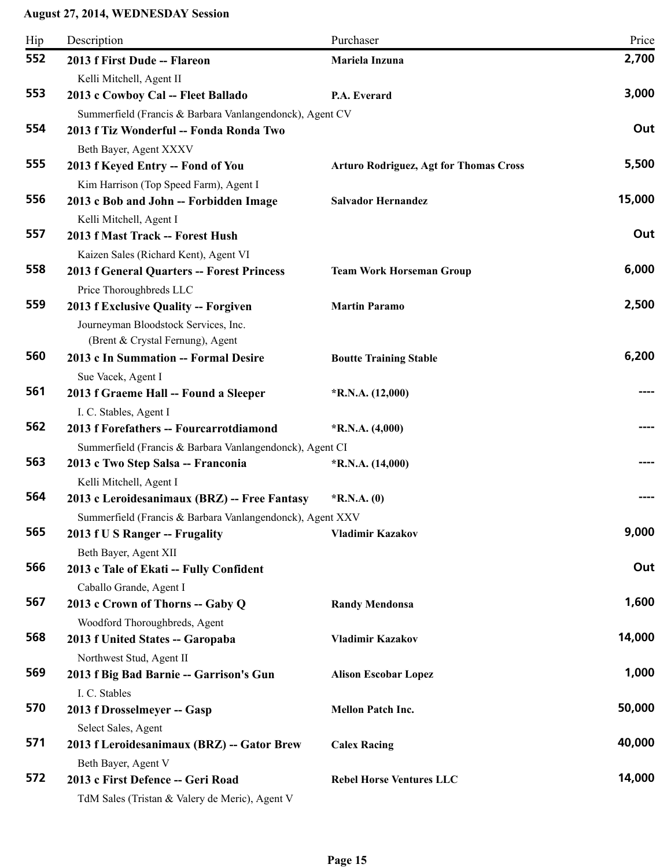| Hip | Description                                                                                                          | Purchaser                                     | Price  |
|-----|----------------------------------------------------------------------------------------------------------------------|-----------------------------------------------|--------|
| 552 | 2013 f First Dude -- Flareon                                                                                         | Mariela Inzuna                                | 2,700  |
| 553 | Kelli Mitchell, Agent II<br>2013 c Cowboy Cal -- Fleet Ballado                                                       | P.A. Everard                                  | 3,000  |
| 554 | Summerfield (Francis & Barbara Vanlangendonck), Agent CV<br>2013 f Tiz Wonderful -- Fonda Ronda Two                  |                                               | Out    |
| 555 | Beth Bayer, Agent XXXV<br>2013 f Keyed Entry -- Fond of You<br>Kim Harrison (Top Speed Farm), Agent I                | <b>Arturo Rodriguez, Agt for Thomas Cross</b> | 5,500  |
| 556 | 2013 c Bob and John -- Forbidden Image<br>Kelli Mitchell, Agent I                                                    | <b>Salvador Hernandez</b>                     | 15,000 |
| 557 | 2013 f Mast Track -- Forest Hush<br>Kaizen Sales (Richard Kent), Agent VI                                            |                                               | Out    |
| 558 | 2013 f General Quarters -- Forest Princess<br>Price Thoroughbreds LLC                                                | <b>Team Work Horseman Group</b>               | 6,000  |
| 559 | 2013 f Exclusive Quality -- Forgiven<br>Journeyman Bloodstock Services, Inc.<br>(Brent & Crystal Fernung), Agent     | <b>Martin Paramo</b>                          | 2,500  |
| 560 | 2013 c In Summation -- Formal Desire<br>Sue Vacek, Agent I                                                           | <b>Boutte Training Stable</b>                 | 6,200  |
| 561 | 2013 f Graeme Hall -- Found a Sleeper<br>I. C. Stables, Agent I                                                      | $*R.N.A. (12,000)$                            |        |
| 562 | 2013 f Forefathers -- Fourcarrotdiamond                                                                              | $*R.N.A. (4,000)$                             | ----   |
| 563 | Summerfield (Francis & Barbara Vanlangendonck), Agent CI<br>2013 c Two Step Salsa -- Franconia                       | $*R.N.A. (14,000)$                            |        |
| 564 | Kelli Mitchell, Agent I<br>2013 c Leroidesanimaux (BRZ) -- Free Fantasy                                              | $*$ R.N.A. $(0)$                              |        |
| 565 | Summerfield (Francis & Barbara Vanlangendonck), Agent XXV<br>2013 f U S Ranger -- Frugality<br>Beth Bayer, Agent XII | <b>Vladimir Kazakov</b>                       | 9,000  |
| 566 | 2013 c Tale of Ekati -- Fully Confident<br>Caballo Grande, Agent I                                                   |                                               | Out    |
| 567 | 2013 c Crown of Thorns -- Gaby Q<br>Woodford Thoroughbreds, Agent                                                    | <b>Randy Mendonsa</b>                         | 1,600  |
| 568 | 2013 f United States -- Garopaba<br>Northwest Stud, Agent II                                                         | <b>Vladimir Kazakov</b>                       | 14,000 |
| 569 | 2013 f Big Bad Barnie -- Garrison's Gun<br>I. C. Stables                                                             | <b>Alison Escobar Lopez</b>                   | 1,000  |
| 570 | 2013 f Drosselmeyer -- Gasp<br>Select Sales, Agent                                                                   | <b>Mellon Patch Inc.</b>                      | 50,000 |
| 571 | 2013 f Leroidesanimaux (BRZ) -- Gator Brew<br>Beth Bayer, Agent V                                                    | <b>Calex Racing</b>                           | 40,000 |
| 572 | 2013 c First Defence -- Geri Road<br>TdM Sales (Tristan & Valery de Meric), Agent V                                  | <b>Rebel Horse Ventures LLC</b>               | 14,000 |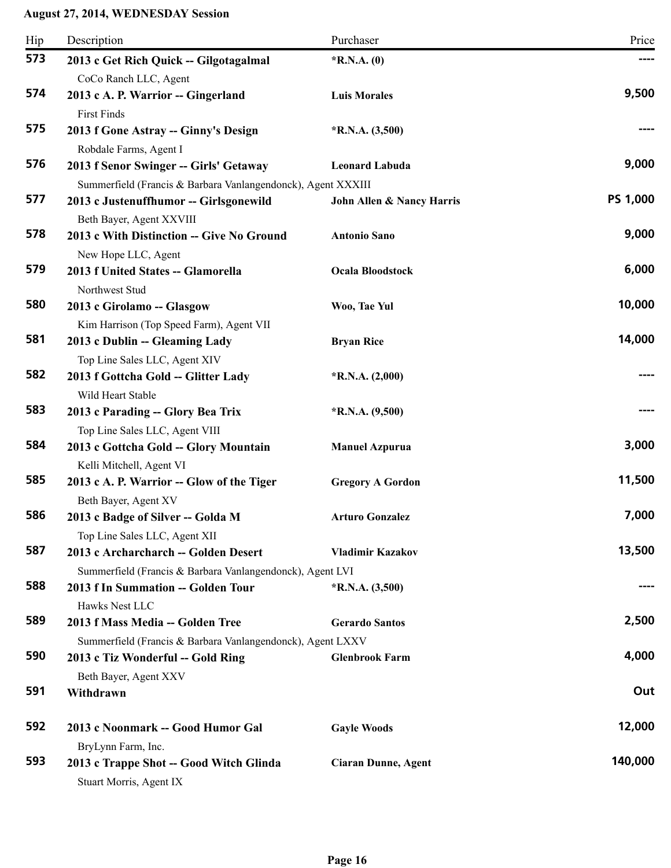| Hip | Description                                                                                                                        | Purchaser                  | Price           |
|-----|------------------------------------------------------------------------------------------------------------------------------------|----------------------------|-----------------|
| 573 | 2013 c Get Rich Quick -- Gilgotagalmal<br>CoCo Ranch LLC, Agent                                                                    | $*$ R.N.A. $(0)$           |                 |
| 574 | 2013 c A. P. Warrior -- Gingerland<br><b>First Finds</b>                                                                           | <b>Luis Morales</b>        | 9,500           |
| 575 | 2013 f Gone Astray -- Ginny's Design<br>Robdale Farms, Agent I                                                                     | $*R.N.A. (3,500)$          |                 |
| 576 | 2013 f Senor Swinger -- Girls' Getaway                                                                                             | <b>Leonard Labuda</b>      | 9,000           |
| 577 | Summerfield (Francis & Barbara Vanlangendonck), Agent XXXIII<br>2013 c Justenuffhumor -- Girlsgonewild<br>Beth Bayer, Agent XXVIII | John Allen & Nancy Harris  | <b>PS 1,000</b> |
| 578 | 2013 c With Distinction -- Give No Ground<br>New Hope LLC, Agent                                                                   | <b>Antonio Sano</b>        | 9,000           |
| 579 | 2013 f United States -- Glamorella<br>Northwest Stud                                                                               | <b>Ocala Bloodstock</b>    | 6,000           |
| 580 | 2013 c Girolamo -- Glasgow<br>Kim Harrison (Top Speed Farm), Agent VII                                                             | Woo, Tae Yul               | 10,000          |
| 581 | 2013 c Dublin -- Gleaming Lady<br>Top Line Sales LLC, Agent XIV                                                                    | <b>Bryan Rice</b>          | 14,000          |
| 582 | 2013 f Gottcha Gold -- Glitter Lady<br>Wild Heart Stable                                                                           | $*$ R.N.A. $(2,000)$       |                 |
| 583 | 2013 c Parading -- Glory Bea Trix<br>Top Line Sales LLC, Agent VIII                                                                | $*R.N.A. (9,500)$          |                 |
| 584 | 2013 c Gottcha Gold -- Glory Mountain<br>Kelli Mitchell, Agent VI                                                                  | <b>Manuel Azpurua</b>      | 3,000           |
| 585 | 2013 c A. P. Warrior -- Glow of the Tiger<br>Beth Bayer, Agent XV                                                                  | <b>Gregory A Gordon</b>    | 11,500          |
| 586 | 2013 c Badge of Silver -- Golda M<br>Top Line Sales LLC, Agent XII                                                                 | <b>Arturo Gonzalez</b>     | 7,000           |
| 587 | 2013 c Archarcharch -- Golden Desert<br>Summerfield (Francis & Barbara Vanlangendonck), Agent LVI                                  | <b>Vladimir Kazakov</b>    | 13,500          |
| 588 | 2013 f In Summation -- Golden Tour<br>Hawks Nest LLC                                                                               | $*R.N.A. (3,500)$          |                 |
| 589 | 2013 f Mass Media -- Golden Tree<br>Summerfield (Francis & Barbara Vanlangendonck), Agent LXXV                                     | <b>Gerardo Santos</b>      | 2,500           |
| 590 | 2013 c Tiz Wonderful -- Gold Ring<br>Beth Bayer, Agent XXV                                                                         | <b>Glenbrook Farm</b>      | 4,000           |
| 591 | Withdrawn                                                                                                                          |                            | Out             |
| 592 | 2013 c Noonmark -- Good Humor Gal<br>BryLynn Farm, Inc.                                                                            | <b>Gayle Woods</b>         | 12,000          |
| 593 | 2013 c Trappe Shot -- Good Witch Glinda<br>Stuart Morris, Agent IX                                                                 | <b>Ciaran Dunne, Agent</b> | 140,000         |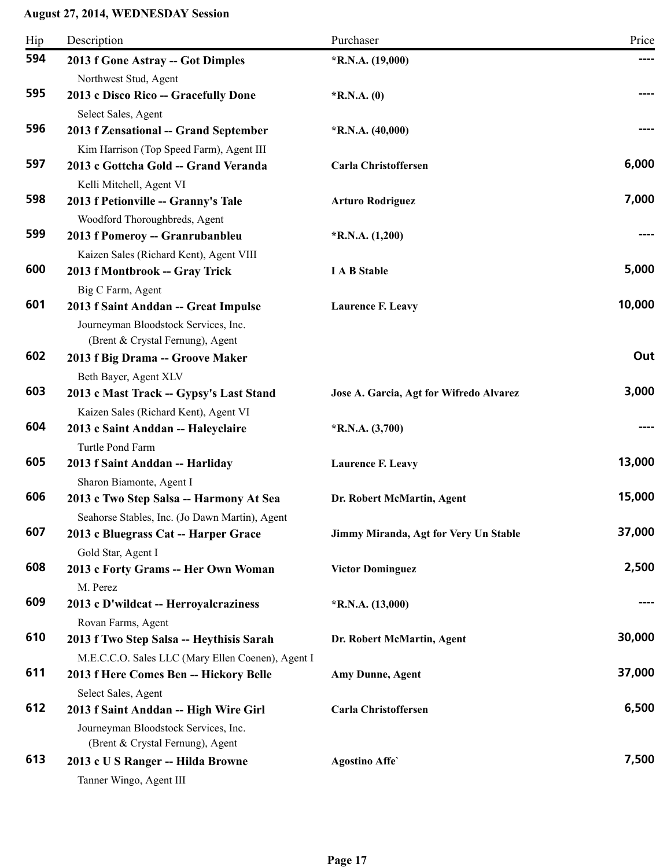| Hip | Description                                                                                                       | Purchaser                               | Price  |
|-----|-------------------------------------------------------------------------------------------------------------------|-----------------------------------------|--------|
| 594 | 2013 f Gone Astray -- Got Dimples                                                                                 | *R.N.A. (19,000)                        | ----   |
| 595 | Northwest Stud, Agent<br>2013 c Disco Rico -- Gracefully Done<br>Select Sales, Agent                              | $*$ R.N.A. $(0)$                        |        |
| 596 | 2013 f Zensational -- Grand September<br>Kim Harrison (Top Speed Farm), Agent III                                 | $*R.N.A. (40,000)$                      |        |
| 597 | 2013 c Gottcha Gold -- Grand Veranda<br>Kelli Mitchell, Agent VI                                                  | Carla Christoffersen                    | 6,000  |
| 598 | 2013 f Petionville -- Granny's Tale<br>Woodford Thoroughbreds, Agent                                              | <b>Arturo Rodriguez</b>                 | 7,000  |
| 599 | 2013 f Pomeroy -- Granrubanbleu<br>Kaizen Sales (Richard Kent), Agent VIII                                        | $*R.N.A. (1,200)$                       |        |
| 600 | 2013 f Montbrook -- Gray Trick<br>Big C Farm, Agent                                                               | <b>I A B Stable</b>                     | 5,000  |
| 601 | 2013 f Saint Anddan -- Great Impulse<br>Journeyman Bloodstock Services, Inc.<br>(Brent & Crystal Fernung), Agent  | <b>Laurence F. Leavy</b>                | 10,000 |
| 602 | 2013 f Big Drama -- Groove Maker<br>Beth Bayer, Agent XLV                                                         |                                         | Out    |
| 603 | 2013 c Mast Track -- Gypsy's Last Stand<br>Kaizen Sales (Richard Kent), Agent VI                                  | Jose A. Garcia, Agt for Wifredo Alvarez | 3,000  |
| 604 | 2013 c Saint Anddan -- Haleyclaire<br>Turtle Pond Farm                                                            | $*R.N.A. (3,700)$                       |        |
| 605 | 2013 f Saint Anddan -- Harliday<br>Sharon Biamonte, Agent I                                                       | <b>Laurence F. Leavy</b>                | 13,000 |
| 606 | 2013 c Two Step Salsa -- Harmony At Sea<br>Seahorse Stables, Inc. (Jo Dawn Martin), Agent                         | Dr. Robert McMartin, Agent              | 15,000 |
| 607 | 2013 c Bluegrass Cat -- Harper Grace<br>Gold Star, Agent I                                                        | Jimmy Miranda, Agt for Very Un Stable   | 37,000 |
| 608 | 2013 c Forty Grams -- Her Own Woman<br>M. Perez                                                                   | <b>Victor Dominguez</b>                 | 2,500  |
| 609 | 2013 c D'wildcat -- Herroyalcraziness<br>Rovan Farms, Agent                                                       | $*R.N.A. (13,000)$                      |        |
| 610 | 2013 f Two Step Salsa -- Heythisis Sarah<br>M.E.C.C.O. Sales LLC (Mary Ellen Coenen), Agent I                     | Dr. Robert McMartin, Agent              | 30,000 |
| 611 | 2013 f Here Comes Ben -- Hickory Belle<br>Select Sales, Agent                                                     | Amy Dunne, Agent                        | 37,000 |
| 612 | 2013 f Saint Anddan -- High Wire Girl<br>Journeyman Bloodstock Services, Inc.<br>(Brent & Crystal Fernung), Agent | Carla Christoffersen                    | 6,500  |
| 613 | 2013 c U S Ranger -- Hilda Browne<br>Tanner Wingo, Agent III                                                      | <b>Agostino Affe</b>                    | 7,500  |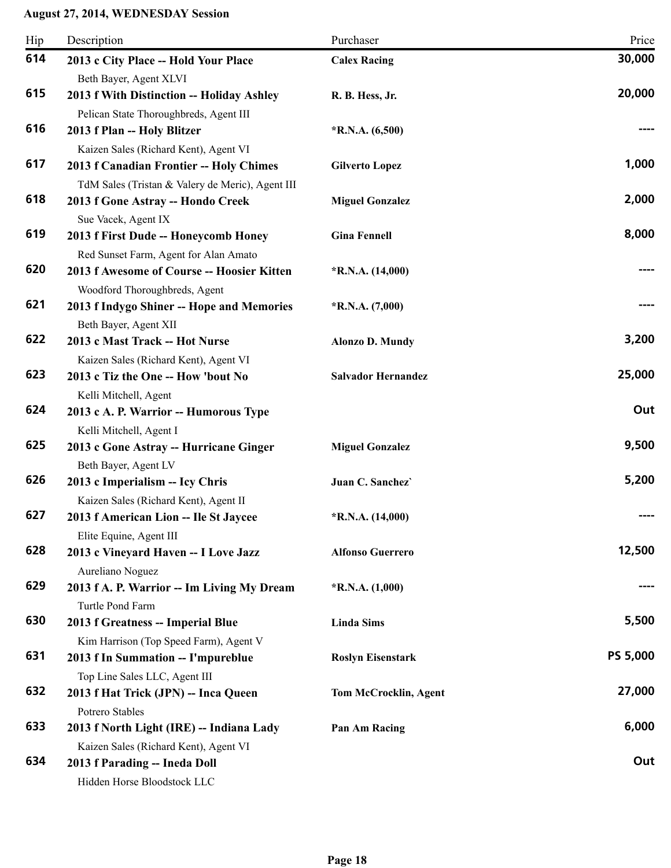| Hip | Description                                                                                 | Purchaser                    | Price           |
|-----|---------------------------------------------------------------------------------------------|------------------------------|-----------------|
| 614 | 2013 c City Place -- Hold Your Place<br>Beth Bayer, Agent XLVI                              | <b>Calex Racing</b>          | 30,000          |
| 615 | 2013 f With Distinction -- Holiday Ashley<br>Pelican State Thoroughbreds, Agent III         | R. B. Hess, Jr.              | 20,000          |
| 616 | 2013 f Plan -- Holy Blitzer<br>Kaizen Sales (Richard Kent), Agent VI                        | $*$ R.N.A. $(6,500)$         |                 |
| 617 | 2013 f Canadian Frontier -- Holy Chimes<br>TdM Sales (Tristan & Valery de Meric), Agent III | <b>Gilverto Lopez</b>        | 1,000           |
| 618 | 2013 f Gone Astray -- Hondo Creek<br>Sue Vacek, Agent IX                                    | <b>Miguel Gonzalez</b>       | 2,000           |
| 619 | 2013 f First Dude -- Honeycomb Honey<br>Red Sunset Farm, Agent for Alan Amato               | <b>Gina Fennell</b>          | 8,000           |
| 620 | 2013 f Awesome of Course -- Hoosier Kitten<br>Woodford Thoroughbreds, Agent                 | $*R.N.A. (14,000)$           |                 |
| 621 | 2013 f Indygo Shiner -- Hope and Memories<br>Beth Bayer, Agent XII                          | $*R.N.A. (7,000)$            |                 |
| 622 | 2013 c Mast Track -- Hot Nurse<br>Kaizen Sales (Richard Kent), Agent VI                     | <b>Alonzo D. Mundy</b>       | 3,200           |
| 623 | 2013 c Tiz the One -- How 'bout No<br>Kelli Mitchell, Agent                                 | <b>Salvador Hernandez</b>    | 25,000          |
| 624 | 2013 c A. P. Warrior -- Humorous Type<br>Kelli Mitchell, Agent I                            |                              | Out             |
| 625 | 2013 c Gone Astray -- Hurricane Ginger<br>Beth Bayer, Agent LV                              | <b>Miguel Gonzalez</b>       | 9,500           |
| 626 | 2013 c Imperialism -- Icy Chris<br>Kaizen Sales (Richard Kent), Agent II                    | Juan C. Sanchez`             | 5,200           |
| 627 | 2013 f American Lion -- Ile St Jaycee<br>Elite Equine, Agent III                            | $*$ R.N.A. $(14,000)$        |                 |
| 628 | 2013 c Vineyard Haven -- I Love Jazz<br>Aureliano Noguez                                    | <b>Alfonso Guerrero</b>      | 12,500          |
| 629 | 2013 f A. P. Warrior -- Im Living My Dream<br>Turtle Pond Farm                              | $*$ R.N.A. $(1,000)$         |                 |
| 630 | 2013 f Greatness -- Imperial Blue<br>Kim Harrison (Top Speed Farm), Agent V                 | <b>Linda Sims</b>            | 5,500           |
| 631 | 2013 f In Summation -- I'mpureblue<br>Top Line Sales LLC, Agent III                         | <b>Roslyn Eisenstark</b>     | <b>PS 5,000</b> |
| 632 | 2013 f Hat Trick (JPN) -- Inca Queen<br>Potrero Stables                                     | <b>Tom McCrocklin, Agent</b> | 27,000          |
| 633 | 2013 f North Light (IRE) -- Indiana Lady<br>Kaizen Sales (Richard Kent), Agent VI           | Pan Am Racing                | 6,000           |
| 634 | 2013 f Parading -- Ineda Doll<br>Hidden Horse Bloodstock LLC                                |                              | Out             |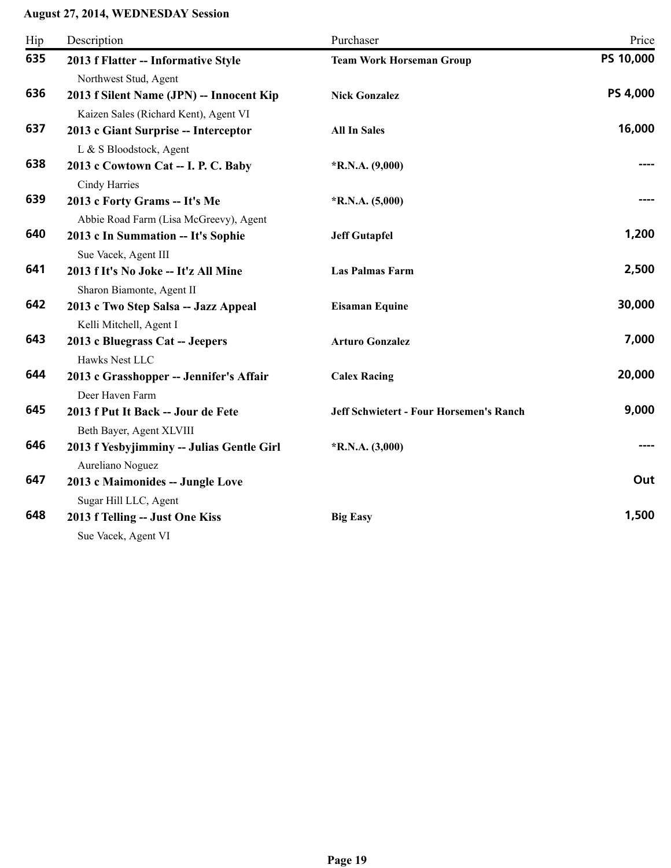| Hip | Description                                                                                                | Purchaser                                      | Price     |
|-----|------------------------------------------------------------------------------------------------------------|------------------------------------------------|-----------|
| 635 | 2013 f Flatter -- Informative Style                                                                        | <b>Team Work Horseman Group</b>                | PS 10,000 |
| 636 | Northwest Stud, Agent<br>2013 f Silent Name (JPN) -- Innocent Kip<br>Kaizen Sales (Richard Kent), Agent VI | <b>Nick Gonzalez</b>                           | PS 4,000  |
| 637 | 2013 c Giant Surprise -- Interceptor<br>L & S Bloodstock, Agent                                            | <b>All In Sales</b>                            | 16,000    |
| 638 | 2013 c Cowtown Cat -- I. P. C. Baby<br>Cindy Harries                                                       | $*$ R.N.A. $(9,000)$                           | ----      |
| 639 | 2013 c Forty Grams -- It's Me                                                                              | $*$ R.N.A. $(5,000)$                           |           |
| 640 | Abbie Road Farm (Lisa McGreevy), Agent<br>2013 c In Summation -- It's Sophie                               | <b>Jeff Gutapfel</b>                           | 1,200     |
| 641 | Sue Vacek, Agent III<br>2013 f It's No Joke -- It'z All Mine<br>Sharon Biamonte, Agent II                  | <b>Las Palmas Farm</b>                         | 2,500     |
| 642 | 2013 c Two Step Salsa -- Jazz Appeal<br>Kelli Mitchell, Agent I                                            | <b>Eisaman Equine</b>                          | 30,000    |
| 643 | 2013 c Bluegrass Cat -- Jeepers<br>Hawks Nest LLC                                                          | <b>Arturo Gonzalez</b>                         | 7,000     |
| 644 | 2013 c Grasshopper -- Jennifer's Affair<br>Deer Haven Farm                                                 | <b>Calex Racing</b>                            | 20,000    |
| 645 | 2013 f Put It Back -- Jour de Fete                                                                         | <b>Jeff Schwietert - Four Horsemen's Ranch</b> | 9,000     |
| 646 | Beth Bayer, Agent XLVIII<br>2013 f Yesbyjimminy -- Julias Gentle Girl                                      | $*$ R.N.A. $(3,000)$                           |           |
| 647 | Aureliano Noguez<br>2013 c Maimonides -- Jungle Love                                                       |                                                | Out       |
| 648 | Sugar Hill LLC, Agent<br>2013 f Telling -- Just One Kiss<br>Sue Vacek, Agent VI                            | <b>Big Easy</b>                                | 1,500     |